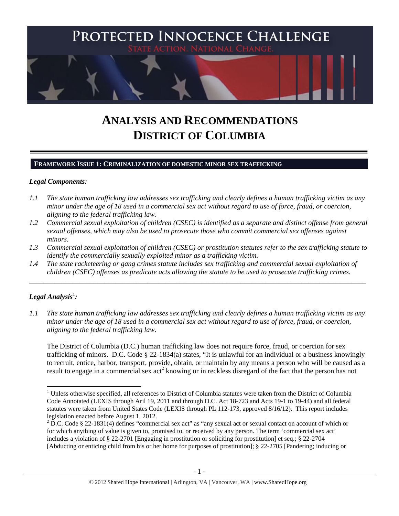

# **ANALYSIS AND RECOMMENDATIONS DISTRICT OF COLUMBIA**

## **FRAMEWORK ISSUE 1: CRIMINALIZATION OF DOMESTIC MINOR SEX TRAFFICKING**

### *Legal Components:*

- *1.1 The state human trafficking law addresses sex trafficking and clearly defines a human trafficking victim as any minor under the age of 18 used in a commercial sex act without regard to use of force, fraud, or coercion, aligning to the federal trafficking law.*
- *1.2 Commercial sexual exploitation of children (CSEC) is identified as a separate and distinct offense from general sexual offenses, which may also be used to prosecute those who commit commercial sex offenses against minors.*
- *1.3 Commercial sexual exploitation of children (CSEC) or prostitution statutes refer to the sex trafficking statute to identify the commercially sexually exploited minor as a trafficking victim.*

\_\_\_\_\_\_\_\_\_\_\_\_\_\_\_\_\_\_\_\_\_\_\_\_\_\_\_\_\_\_\_\_\_\_\_\_\_\_\_\_\_\_\_\_\_\_\_\_\_\_\_\_\_\_\_\_\_\_\_\_\_\_\_\_\_\_\_\_\_\_\_\_\_\_\_\_\_\_\_\_\_\_\_\_\_\_\_\_\_\_\_\_\_\_

*1.4 The state racketeering or gang crimes statute includes sex trafficking and commercial sexual exploitation of children (CSEC) offenses as predicate acts allowing the statute to be used to prosecute trafficking crimes.* 

# ${\it Legal Analysis^!}$  :

*1.1 The state human trafficking law addresses sex trafficking and clearly defines a human trafficking victim as any minor under the age of 18 used in a commercial sex act without regard to use of force, fraud, or coercion, aligning to the federal trafficking law.*

The District of Columbia (D.C.) human trafficking law does not require force, fraud, or coercion for sex trafficking of minors. D.C. Code § 22-1834(a) states, "It is unlawful for an individual or a business knowingly to recruit, entice, harbor, transport, provide, obtain, or maintain by any means a person who will be caused as a result to engage in a commercial sex act<sup>2</sup> knowing or in reckless disregard of the fact that the person has not

 $1$  Unless otherwise specified, all references to District of Columbia statutes were taken from the District of Columbia Code Annotated (LEXIS through Aril 19, 2011 and through D.C. Act 18-723 and Acts 19-1 to 19-44) and all federal statutes were taken from United States Code (LEXIS through PL 112-173, approved 8/16/12). This report includes legislation enacted before August 1, 2012.

<sup>&</sup>lt;sup>2</sup> D.C. Code § 22-1831(4) defines "commercial sex act" as "any sexual act or sexual contact on account of which or for which anything of value is given to, promised to, or received by any person. The term 'commercial sex act' includes a violation of § 22-2701 [Engaging in prostitution or soliciting for prostitution] et seq.; § 22-2704 [Abducting or enticing child from his or her home for purposes of prostitution]; § 22-2705 [Pandering; inducing or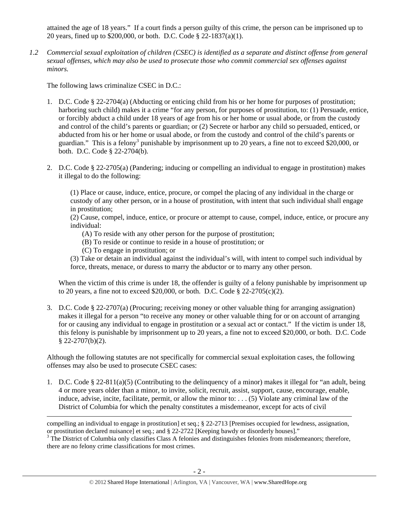attained the age of 18 years." If a court finds a person guilty of this crime, the person can be imprisoned up to 20 years, fined up to \$200,000, or both. D.C. Code § 22-1837(a)(1).

*1.2 Commercial sexual exploitation of children (CSEC) is identified as a separate and distinct offense from general sexual offenses, which may also be used to prosecute those who commit commercial sex offenses against minors.*

The following laws criminalize CSEC in D.C.:

- 1. D.C. Code § 22-2704(a) (Abducting or enticing child from his or her home for purposes of prostitution; harboring such child) makes it a crime "for any person, for purposes of prostitution, to: (1) Persuade, entice, or forcibly abduct a child under 18 years of age from his or her home or usual abode, or from the custody and control of the child's parents or guardian; or (2) Secrete or harbor any child so persuaded, enticed, or abducted from his or her home or usual abode, or from the custody and control of the child's parents or guardian." This is a felony<sup>3</sup> punishable by imprisonment up to 20 years, a fine not to exceed \$20,000, or both. D.C. Code § 22-2704(b).
- 2. D.C. Code § 22-2705(a) (Pandering; inducing or compelling an individual to engage in prostitution) makes it illegal to do the following:

(1) Place or cause, induce, entice, procure, or compel the placing of any individual in the charge or custody of any other person, or in a house of prostitution, with intent that such individual shall engage in prostitution;

(2) Cause, compel, induce, entice, or procure or attempt to cause, compel, induce, entice, or procure any individual:

- (A) To reside with any other person for the purpose of prostitution;
- (B) To reside or continue to reside in a house of prostitution; or
- (C) To engage in prostitution; or

(3) Take or detain an individual against the individual's will, with intent to compel such individual by force, threats, menace, or duress to marry the abductor or to marry any other person.

When the victim of this crime is under 18, the offender is guilty of a felony punishable by imprisonment up to 20 years, a fine not to exceed \$20,000, or both. D.C. Code § 22-2705(c)(2).

3. D.C. Code § 22-2707(a) (Procuring; receiving money or other valuable thing for arranging assignation) makes it illegal for a person "to receive any money or other valuable thing for or on account of arranging for or causing any individual to engage in prostitution or a sexual act or contact." If the victim is under 18, this felony is punishable by imprisonment up to 20 years, a fine not to exceed \$20,000, or both. D.C. Code  $§$  22-2707(b)(2).

Although the following statutes are not specifically for commercial sexual exploitation cases, the following offenses may also be used to prosecute CSEC cases:

1. D.C. Code § 22-811(a)(5) (Contributing to the delinquency of a minor) makes it illegal for "an adult, being 4 or more years older than a minor, to invite, solicit, recruit, assist, support, cause, encourage, enable, induce, advise, incite, facilitate, permit, or allow the minor to: . . . (5) Violate any criminal law of the District of Columbia for which the penalty constitutes a misdemeanor, except for acts of civil

<sup>&</sup>lt;u> Andrewski politika (za obrazu pod predsjednika u predsjednika u predsjednika u predsjednika (za obrazu pod p</u> compelling an individual to engage in prostitution] et seq.; § 22-2713 [Premises occupied for lewdness, assignation, or prostitution declared nuisance] et seq.; and § 22-2722 [Keeping bawdy or disorderly houses]." 3

<sup>&</sup>lt;sup>3</sup> The District of Columbia only classifies Class A felonies and distinguishes felonies from misdemeanors; therefore, there are no felony crime classifications for most crimes.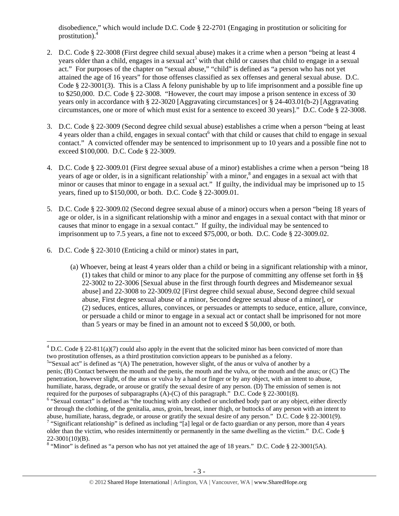disobedience," which would include D.C. Code § 22-2701 (Engaging in prostitution or soliciting for prostitution).4

- 2. D.C. Code § 22-3008 (First degree child sexual abuse) makes it a crime when a person "being at least 4 years older than a child, engages in a sexual act<sup>5</sup> with that child or causes that child to engage in a sexual act." For purposes of the chapter on "sexual abuse," "child" is defined as "a person who has not yet attained the age of 16 years" for those offenses classified as sex offenses and general sexual abuse. D.C. Code § 22-3001(3). This is a Class A felony punishable by up to life imprisonment and a possible fine up to \$250,000. D.C. Code § 22-3008. "However, the court may impose a prison sentence in excess of 30 years only in accordance with § 22-3020 [Aggravating circumstances] or § 24-403.01(b-2) [Aggravating circumstances, one or more of which must exist for a sentence to exceed 30 years]." D.C. Code § 22-3008.
- 3. D.C. Code § 22-3009 (Second degree child sexual abuse) establishes a crime when a person "being at least  $4$  years older than a child, engages in sexual contact with that child or causes that child to engage in sexual contact." A convicted offender may be sentenced to imprisonment up to 10 years and a possible fine not to exceed \$100,000. D.C. Code § 22-3009.
- 4. D.C. Code § 22-3009.01 (First degree sexual abuse of a minor) establishes a crime when a person "being 18 years of age or older, is in a significant relationship<sup>7</sup> with a minor,<sup>8</sup> and engages in a sexual act with that minor or causes that minor to engage in a sexual act." If guilty, the individual may be imprisoned up to 15 years, fined up to \$150,000, or both. D.C. Code § 22-3009.01.
- 5. D.C. Code § 22-3009.02 (Second degree sexual abuse of a minor) occurs when a person "being 18 years of age or older, is in a significant relationship with a minor and engages in a sexual contact with that minor or causes that minor to engage in a sexual contact." If guilty, the individual may be sentenced to imprisonment up to 7.5 years, a fine not to exceed \$75,000, or both. D.C. Code § 22-3009.02.
- 6. D.C. Code § 22-3010 (Enticing a child or minor) states in part,
	- (a) Whoever, being at least 4 years older than a child or being in a significant relationship with a minor, (1) takes that child or minor to any place for the purpose of committing any offense set forth in §§ 22-3002 to 22-3006 [Sexual abuse in the first through fourth degrees and Misdemeanor sexual abuse] and 22-3008 to 22-3009.02 [First degree child sexual abuse, Second degree child sexual abuse, First degree sexual abuse of a minor, Second degree sexual abuse of a minor], or (2) seduces, entices, allures, convinces, or persuades or attempts to seduce, entice, allure, convince, or persuade a child or minor to engage in a sexual act or contact shall be imprisoned for not more than 5 years or may be fined in an amount not to exceed \$ 50,000, or both.

 <sup>4</sup> D.C. Code § 22-811(a)(7) could also apply in the event that the solicited minor has been convicted of more than two prostitution offenses, as a third prostitution conviction appears to be punished as a felony.

 $5$ "Sexual act" is defined as "(A) The penetration, however slight, of the anus or vulva of another by a penis; (B) Contact between the mouth and the penis, the mouth and the vulva, or the mouth and the anus; or (C) The penetration, however slight, of the anus or vulva by a hand or finger or by any object, with an intent to abuse, humiliate, harass, degrade, or arouse or gratify the sexual desire of any person. (D) The emission of semen is not required for the purposes of subparagraphs  $(A)$ - $(C)$  of this paragraph." D.C. Code § 22-3001(8).

<sup>&</sup>lt;sup>6</sup> "Sexual contact" is defined as "the touching with any clothed or unclothed body part or any object, either directly or through the clothing, of the genitalia, anus, groin, breast, inner thigh, or buttocks of any person with an intent to abuse, humiliate, harass, degrade, or arouse or gratify the sexual desire of any person." D.C. Code § 22-3001(9).

<sup>&</sup>lt;sup>7</sup> "Significant relationship" is defined as including "[a] legal or de facto guardian or any person, more than 4 years older than the victim, who resides intermittently or permanently in the same dwelling as the victim." D.C. Code § 22-3001(10)(B).

<sup>&</sup>lt;sup>8</sup> "Minor" is defined as "a person who has not yet attained the age of 18 years." D.C. Code  $\S$  22-3001(5A).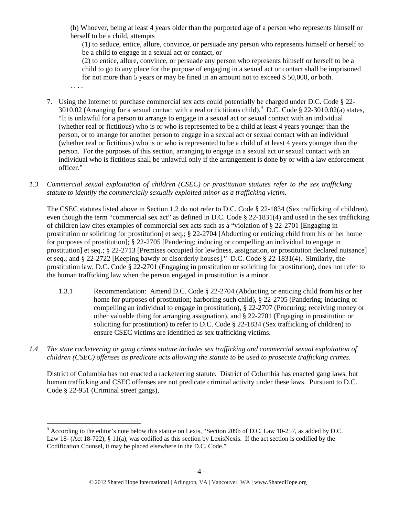(b) Whoever, being at least 4 years older than the purported age of a person who represents himself or herself to be a child, attempts

(1) to seduce, entice, allure, convince, or persuade any person who represents himself or herself to be a child to engage in a sexual act or contact, or

(2) to entice, allure, convince, or persuade any person who represents himself or herself to be a child to go to any place for the purpose of engaging in a sexual act or contact shall be imprisoned for not more than 5 years or may be fined in an amount not to exceed \$ 50,000, or both.

- . . . .
- 7. Using the Internet to purchase commercial sex acts could potentially be charged under D.C. Code § 22- 3010.02 (Arranging for a sexual contact with a real or fictitious child). <sup>9</sup> D.C. Code § 22-3010.02(a) states, "It is unlawful for a person to arrange to engage in a sexual act or sexual contact with an individual (whether real or fictitious) who is or who is represented to be a child at least 4 years younger than the person, or to arrange for another person to engage in a sexual act or sexual contact with an individual (whether real or fictitious) who is or who is represented to be a child of at least 4 years younger than the person. For the purposes of this section, arranging to engage in a sexual act or sexual contact with an individual who is fictitious shall be unlawful only if the arrangement is done by or with a law enforcement officer."
- *1.3 Commercial sexual exploitation of children (CSEC) or prostitution statutes refer to the sex trafficking statute to identify the commercially sexually exploited minor as a trafficking victim.*

The CSEC statutes listed above in Section 1.2 do not refer to D.C. Code § 22-1834 (Sex trafficking of children), even though the term "commercial sex act" as defined in D.C. Code § 22-1831(4) and used in the sex trafficking of children law cites examples of commercial sex acts such as a "violation of § 22-2701 [Engaging in prostitution or soliciting for prostitution] et seq.; § 22-2704 [Abducting or enticing child from his or her home for purposes of prostitution]; § 22-2705 [Pandering; inducing or compelling an individual to engage in prostitution] et seq.; § 22-2713 [Premises occupied for lewdness, assignation, or prostitution declared nuisance] et seq.; and § 22-2722 [Keeping bawdy or disorderly houses]." D.C. Code § 22-1831(4). Similarly, the prostitution law, D.C. Code § 22-2701 (Engaging in prostitution or soliciting for prostitution), does not refer to the human trafficking law when the person engaged in prostitution is a minor.

- 1.3.1 Recommendation: Amend D.C. Code § 22-2704 (Abducting or enticing child from his or her home for purposes of prostitution; harboring such child), § 22-2705 (Pandering; inducing or compelling an individual to engage in prostitution), § 22-2707 (Procuring; receiving money or other valuable thing for arranging assignation), and § 22-2701 (Engaging in prostitution or soliciting for prostitution) to refer to D.C. Code § 22-1834 (Sex trafficking of children) to ensure CSEC victims are identified as sex trafficking victims.
- *1.4 The state racketeering or gang crimes statute includes sex trafficking and commercial sexual exploitation of children (CSEC) offenses as predicate acts allowing the statute to be used to prosecute trafficking crimes.*

District of Columbia has not enacted a racketeering statute. District of Columbia has enacted gang laws, but human trafficking and CSEC offenses are not predicate criminal activity under these laws. Pursuant to D.C. Code § 22-951 (Criminal street gangs),

<sup>&</sup>lt;sup>9</sup> According to the editor's note below this statute on Lexis, "Section 209b of D.C. Law 10-257, as added by D.C. Law 18- (Act 18-722), § 11(a), was codified as this section by LexisNexis. If the act section is codified by the Codification Counsel, it may be placed elsewhere in the D.C. Code."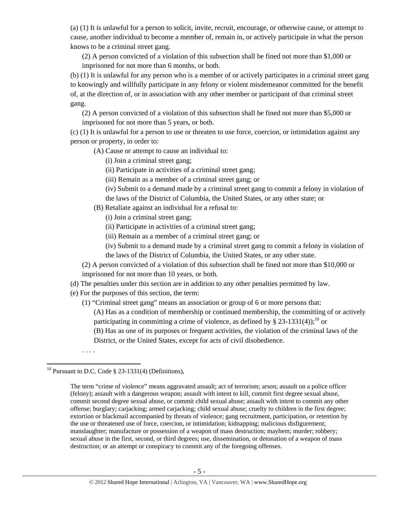(a) (1) It is unlawful for a person to solicit, invite, recruit, encourage, or otherwise cause, or attempt to cause, another individual to become a member of, remain in, or actively participate in what the person knows to be a criminal street gang.

(2) A person convicted of a violation of this subsection shall be fined not more than \$1,000 or imprisoned for not more than 6 months, or both.

(b) (1) It is unlawful for any person who is a member of or actively participates in a criminal street gang to knowingly and willfully participate in any felony or violent misdemeanor committed for the benefit of, at the direction of, or in association with any other member or participant of that criminal street gang.

(2) A person convicted of a violation of this subsection shall be fined not more than \$5,000 or imprisoned for not more than 5 years, or both.

(c) (1) It is unlawful for a person to use or threaten to use force, coercion, or intimidation against any person or property, in order to:

(A) Cause or attempt to cause an individual to:

- (i) Join a criminal street gang;
- (ii) Participate in activities of a criminal street gang;
- (iii) Remain as a member of a criminal street gang; or
- (iv) Submit to a demand made by a criminal street gang to commit a felony in violation of the laws of the District of Columbia, the United States, or any other state; or
- (B) Retaliate against an individual for a refusal to:
	- (i) Join a criminal street gang;
	- (ii) Participate in activities of a criminal street gang;
	- (iii) Remain as a member of a criminal street gang; or
	- (iv) Submit to a demand made by a criminal street gang to commit a felony in violation of the laws of the District of Columbia, the United States, or any other state.
- (2) A person convicted of a violation of this subsection shall be fined not more than \$10,000 or imprisoned for not more than 10 years, or both.
- (d) The penalties under this section are in addition to any other penalties permitted by law.
- (e) For the purposes of this section, the term:
	- (1) "Criminal street gang" means an association or group of 6 or more persons that:
		- (A) Has as a condition of membership or continued membership, the committing of or actively participating in committing a crime of violence, as defined by § 23-1331(4));<sup>10</sup> or
		- (B) Has as one of its purposes or frequent activities, the violation of the criminal laws of the District, or the United States, except for acts of civil disobedience.

. . . .

<sup>&</sup>lt;sup>10</sup> Pursuant to D.C. Code  $\S$  23-1331(4) (Definitions),

The term "crime of violence" means aggravated assault; act of terrorism; arson; assault on a police officer (felony); assault with a dangerous weapon; assault with intent to kill, commit first degree sexual abuse, commit second degree sexual abuse, or commit child sexual abuse; assault with intent to commit any other offense; burglary; carjacking; armed carjacking; child sexual abuse; cruelty to children in the first degree; extortion or blackmail accompanied by threats of violence; gang recruitment, participation, or retention by the use or threatened use of force, coercion, or intimidation; kidnapping; malicious disfigurement; manslaughter; manufacture or possession of a weapon of mass destruction; mayhem; murder; robbery; sexual abuse in the first, second, or third degrees; use, dissemination, or detonation of a weapon of mass destruction; or an attempt or conspiracy to commit any of the foregoing offenses.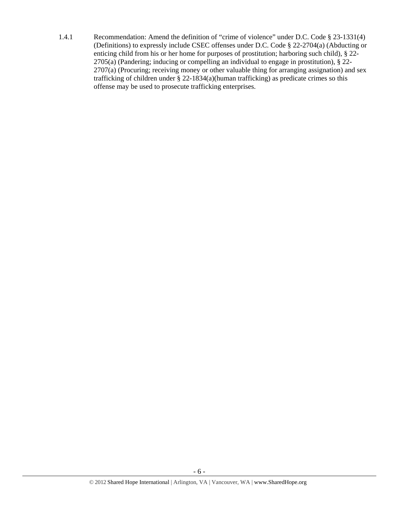1.4.1 Recommendation: Amend the definition of "crime of violence" under D.C. Code § 23-1331(4) (Definitions) to expressly include CSEC offenses under D.C. Code § 22-2704(a) (Abducting or enticing child from his or her home for purposes of prostitution; harboring such child), § 22- 2705(a) (Pandering; inducing or compelling an individual to engage in prostitution), § 22- 2707(a) (Procuring; receiving money or other valuable thing for arranging assignation) and sex trafficking of children under § 22-1834(a)(human trafficking) as predicate crimes so this offense may be used to prosecute trafficking enterprises.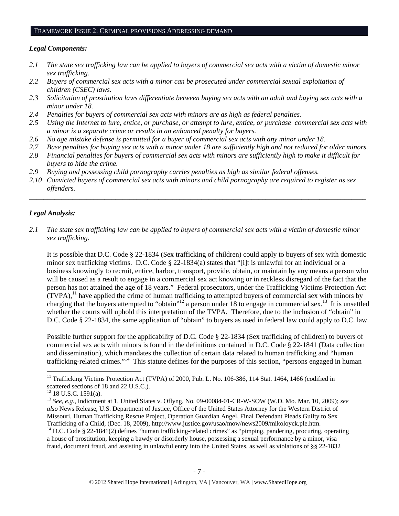### FRAMEWORK ISSUE 2: CRIMINAL PROVISIONS ADDRESSING DEMAND

## *Legal Components:*

- *2.1 The state sex trafficking law can be applied to buyers of commercial sex acts with a victim of domestic minor sex trafficking.*
- *2.2 Buyers of commercial sex acts with a minor can be prosecuted under commercial sexual exploitation of children (CSEC) laws.*
- *2.3 Solicitation of prostitution laws differentiate between buying sex acts with an adult and buying sex acts with a minor under 18.*
- *2.4 Penalties for buyers of commercial sex acts with minors are as high as federal penalties.*
- *2.5 Using the Internet to lure, entice, or purchase, or attempt to lure, entice, or purchase commercial sex acts with a minor is a separate crime or results in an enhanced penalty for buyers.*
- *2.6 No age mistake defense is permitted for a buyer of commercial sex acts with any minor under 18.*
- *2.7 Base penalties for buying sex acts with a minor under 18 are sufficiently high and not reduced for older minors.*
- *2.8 Financial penalties for buyers of commercial sex acts with minors are sufficiently high to make it difficult for buyers to hide the crime.*
- *2.9 Buying and possessing child pornography carries penalties as high as similar federal offenses.*
- *2.10 Convicted buyers of commercial sex acts with minors and child pornography are required to register as sex offenders.*

\_\_\_\_\_\_\_\_\_\_\_\_\_\_\_\_\_\_\_\_\_\_\_\_\_\_\_\_\_\_\_\_\_\_\_\_\_\_\_\_\_\_\_\_\_\_\_\_\_\_\_\_\_\_\_\_\_\_\_\_\_\_\_\_\_\_\_\_\_\_\_\_\_\_\_\_\_\_\_\_\_\_\_\_\_\_\_\_\_\_\_\_\_\_

# *Legal Analysis:*

*2.1 The state sex trafficking law can be applied to buyers of commercial sex acts with a victim of domestic minor sex trafficking.* 

It is possible that D.C. Code § 22-1834 (Sex trafficking of children) could apply to buyers of sex with domestic minor sex trafficking victims. D.C. Code § 22-1834(a) states that "[i]t is unlawful for an individual or a business knowingly to recruit, entice, harbor, transport, provide, obtain, or maintain by any means a person who will be caused as a result to engage in a commercial sex act knowing or in reckless disregard of the fact that the person has not attained the age of 18 years." Federal prosecutors, under the Trafficking Victims Protection Act  $(TVPA)$ ,<sup>11</sup> have applied the crime of human trafficking to attempted buyers of commercial sex with minors by charging that the buyers attempted to "obtain"<sup>12</sup> a person under 18 to engage in commercial sex.<sup>13</sup> It is unsettled whether the courts will uphold this interpretation of the TVPA. Therefore, due to the inclusion of "obtain" in D.C. Code § 22-1834, the same application of "obtain" to buyers as used in federal law could apply to D.C. law.

Possible further support for the applicability of D.C. Code § 22-1834 (Sex trafficking of children) to buyers of commercial sex acts with minors is found in the definitions contained in D.C. Code § 22-1841 (Data collection and dissemination), which mandates the collection of certain data related to human trafficking and "human trafficking-related crimes."14 This statute defines for the purposes of this section, "persons engaged in human

<sup>&</sup>lt;sup>11</sup> Trafficking Victims Protection Act (TVPA) of 2000, Pub. L. No. 106-386, 114 Stat. 1464, 1466 (codified in scattered sections of 18 and 22 U.S.C.).

 $12$  18 U.S.C. 1591(a).

<sup>13</sup> *See, e.g*., Indictment at 1, United States v. Oflyng, No. 09-00084-01-CR-W-SOW (W.D. Mo. Mar. 10, 2009); *see also* News Release, U.S. Department of Justice, Office of the United States Attorney for the Western District of Missouri, Human Trafficking Rescue Project, Operation Guardian Angel, Final Defendant Pleads Guilty to Sex Trafficking of a Child, (Dec. 18, 2009), http://www.justice.gov/usao/mow/news2009/mikoloyck.ple.htm.<br><sup>14</sup> D.C. Code § 22-1841(2) defines "human trafficking-related crimes" as "pimping, pandering, procuring, operating

a house of prostitution, keeping a bawdy or disorderly house, possessing a sexual performance by a minor, visa fraud, document fraud, and assisting in unlawful entry into the United States, as well as violations of §§ 22-1832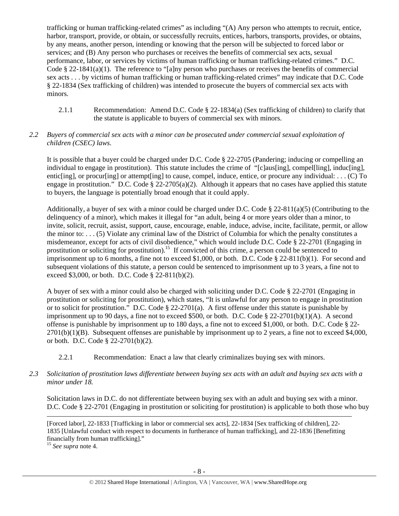trafficking or human trafficking-related crimes" as including "(A) Any person who attempts to recruit, entice, harbor, transport, provide, or obtain, or successfully recruits, entices, harbors, transports, provides, or obtains, by any means, another person, intending or knowing that the person will be subjected to forced labor or services; and (B) Any person who purchases or receives the benefits of commercial sex acts, sexual performance, labor, or services by victims of human trafficking or human trafficking-related crimes." D.C. Code § 22-1841(a)(1). The reference to "[a]ny person who purchases or receives the benefits of commercial sex acts . . . by victims of human trafficking or human trafficking-related crimes" may indicate that D.C. Code § 22-1834 (Sex trafficking of children) was intended to prosecute the buyers of commercial sex acts with minors.

2.1.1 Recommendation: Amend D.C. Code § 22-1834(a) (Sex trafficking of children) to clarify that the statute is applicable to buyers of commercial sex with minors.

# *2.2 Buyers of commercial sex acts with a minor can be prosecuted under commercial sexual exploitation of children (CSEC) laws.*

It is possible that a buyer could be charged under D.C. Code § 22-2705 (Pandering; inducing or compelling an individual to engage in prostitution). This statute includes the crime of "[c]aus[ing], compel[ling], induc[ing], entic[ing], or procur[ing] or attempt[ing] to cause, compel, induce, entice, or procure any individual: . . . (C) To engage in prostitution." D.C. Code § 22-2705(a)(2). Although it appears that no cases have applied this statute to buyers, the language is potentially broad enough that it could apply.

Additionally, a buyer of sex with a minor could be charged under D.C. Code § 22-811(a)(5) (Contributing to the delinquency of a minor), which makes it illegal for "an adult, being 4 or more years older than a minor, to invite, solicit, recruit, assist, support, cause, encourage, enable, induce, advise, incite, facilitate, permit, or allow the minor to: . . . (5) Violate any criminal law of the District of Columbia for which the penalty constitutes a misdemeanor, except for acts of civil disobedience," which would include D.C. Code § 22-2701 (Engaging in prostitution or soliciting for prostitution).<sup>15</sup> If convicted of this crime, a person could be sentenced to imprisonment up to 6 months, a fine not to exceed \$1,000, or both. D.C. Code  $\S$  22-811(b)(1). For second and subsequent violations of this statute, a person could be sentenced to imprisonment up to 3 years, a fine not to exceed \$3,000, or both. D.C. Code § 22-811(b)(2).

A buyer of sex with a minor could also be charged with soliciting under D.C. Code § 22-2701 (Engaging in prostitution or soliciting for prostitution), which states, "It is unlawful for any person to engage in prostitution or to solicit for prostitution." D.C. Code § 22-2701(a). A first offense under this statute is punishable by imprisonment up to 90 days, a fine not to exceed \$500, or both. D.C. Code § 22-2701(b)(1)(A). A second offense is punishable by imprisonment up to 180 days, a fine not to exceed \$1,000, or both. D.C. Code § 22-  $2701(b)(1)(B)$ . Subsequent offenses are punishable by imprisonment up to 2 years, a fine not to exceed \$4,000, or both. D.C. Code § 22-2701(b)(2).

2.2.1 Recommendation: Enact a law that clearly criminalizes buying sex with minors.

## *2.3 Solicitation of prostitution laws differentiate between buying sex acts with an adult and buying sex acts with a minor under 18.*

Solicitation laws in D.C. do not differentiate between buying sex with an adult and buying sex with a minor. D.C. Code § 22-2701 (Engaging in prostitution or soliciting for prostitution) is applicable to both those who buy

[Forced labor], 22-1833 [Trafficking in labor or commercial sex acts], 22-1834 [Sex trafficking of children], 22- 1835 [Unlawful conduct with respect to documents in furtherance of human trafficking], and 22-1836 [Benefitting financially from human trafficking]."

<u> Andrewski politika (za obrazu pod predsjednika u predsjednika u predsjednika u predsjednika (za obrazu pod p</u>

<sup>15</sup> *See supra* note 4.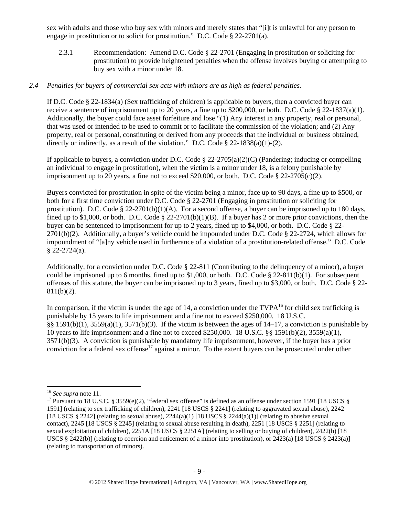sex with adults and those who buy sex with minors and merely states that "[i]t is unlawful for any person to engage in prostitution or to solicit for prostitution." D.C. Code § 22-2701(a).

2.3.1 Recommendation: Amend D.C. Code § 22-2701 (Engaging in prostitution or soliciting for prostitution) to provide heightened penalties when the offense involves buying or attempting to buy sex with a minor under 18.

### *2.4 Penalties for buyers of commercial sex acts with minors are as high as federal penalties.*

If D.C. Code § 22-1834(a) (Sex trafficking of children) is applicable to buyers, then a convicted buyer can receive a sentence of imprisonment up to 20 years, a fine up to \$200,000, or both. D.C. Code § 22-1837(a)(1). Additionally, the buyer could face asset forfeiture and lose "(1) Any interest in any property, real or personal, that was used or intended to be used to commit or to facilitate the commission of the violation; and (2) Any property, real or personal, constituting or derived from any proceeds that the individual or business obtained, directly or indirectly, as a result of the violation." D.C. Code § 22-1838(a)(1)-(2).

If applicable to buyers, a conviction under D.C. Code § 22-2705(a)(2)(C) (Pandering; inducing or compelling an individual to engage in prostitution), when the victim is a minor under 18, is a felony punishable by imprisonment up to 20 years, a fine not to exceed \$20,000, or both. D.C. Code  $\S$  22-2705(c)(2).

Buyers convicted for prostitution in spite of the victim being a minor, face up to 90 days, a fine up to \$500, or both for a first time conviction under D.C. Code § 22-2701 (Engaging in prostitution or soliciting for prostitution). D.C. Code  $\S 22-2701(b)(1)(A)$ . For a second offense, a buyer can be imprisoned up to 180 days, fined up to \$1,000, or both. D.C. Code  $\S 22-2701(b)(1)(B)$ . If a buyer has 2 or more prior convictions, then the buyer can be sentenced to imprisonment for up to 2 years, fined up to \$4,000, or both. D.C. Code § 22- 2701(b)(2). Additionally, a buyer's vehicle could be impounded under D.C. Code § 22-2724, which allows for impoundment of "[a]ny vehicle used in furtherance of a violation of a prostitution-related offense." D.C. Code  $§$  22-2724(a).

Additionally, for a conviction under D.C. Code § 22-811 (Contributing to the delinquency of a minor), a buyer could be imprisoned up to 6 months, fined up to \$1,000, or both. D.C. Code  $\S$  22-811(b)(1). For subsequent offenses of this statute, the buyer can be imprisoned up to 3 years, fined up to \$3,000, or both. D.C. Code § 22-  $811(b)(2)$ .

In comparison, if the victim is under the age of 14, a conviction under the  $TVPA^{16}$  for child sex trafficking is punishable by 15 years to life imprisonment and a fine not to exceed \$250,000. 18 U.S.C. §§ 1591(b)(1), 3559(a)(1), 3571(b)(3). If the victim is between the ages of 14–17, a conviction is punishable by 10 years to life imprisonment and a fine not to exceed \$250,000. 18 U.S.C. §§ 1591(b)(2), 3559(a)(1), 3571(b)(3). A conviction is punishable by mandatory life imprisonment, however, if the buyer has a prior conviction for a federal sex offense<sup>17</sup> against a minor. To the extent buyers can be prosecuted under other

<sup>&</sup>lt;sup>16</sup> *See supra* note 11.<br><sup>17</sup> Pursuant to 18 U.S.C. § 3559(e)(2), "federal sex offense" is defined as an offense under section 1591 [18 USCS § 1591] (relating to sex trafficking of children), 2241 [18 USCS § 2241] (relating to aggravated sexual abuse), 2242 [18 USCS § 2242] (relating to sexual abuse),  $2244(a)(1)$  [18 USCS § 2244(a)(1)] (relating to abusive sexual contact), 2245 [18 USCS § 2245] (relating to sexual abuse resulting in death), 2251 [18 USCS § 2251] (relating to sexual exploitation of children), 2251A [18 USCS § 2251A] (relating to selling or buying of children), 2422(b) [18 USCS § 2422(b)] (relating to coercion and enticement of a minor into prostitution), or 2423(a) [18 USCS § 2423(a)] (relating to transportation of minors).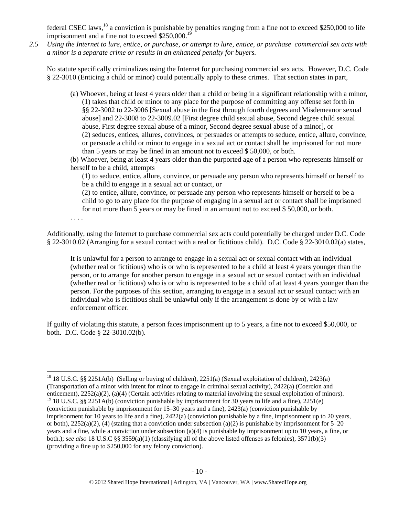federal CSEC laws,<sup>18</sup> a conviction is punishable by penalties ranging from a fine not to exceed \$250,000 to life imprisonment and a fine not to exceed  $$250,000$ <sup>19</sup>

*2.5 Using the Internet to lure, entice, or purchase, or attempt to lure, entice, or purchase commercial sex acts with a minor is a separate crime or results in an enhanced penalty for buyers.* 

No statute specifically criminalizes using the Internet for purchasing commercial sex acts. However, D.C. Code § 22-3010 (Enticing a child or minor) could potentially apply to these crimes. That section states in part,

(a) Whoever, being at least 4 years older than a child or being in a significant relationship with a minor, (1) takes that child or minor to any place for the purpose of committing any offense set forth in §§ 22-3002 to 22-3006 [Sexual abuse in the first through fourth degrees and Misdemeanor sexual abuse] and 22-3008 to 22-3009.02 [First degree child sexual abuse, Second degree child sexual abuse, First degree sexual abuse of a minor, Second degree sexual abuse of a minor], or (2) seduces, entices, allures, convinces, or persuades or attempts to seduce, entice, allure, convince, or persuade a child or minor to engage in a sexual act or contact shall be imprisoned for not more than 5 years or may be fined in an amount not to exceed \$ 50,000, or both.

(b) Whoever, being at least 4 years older than the purported age of a person who represents himself or herself to be a child, attempts

(1) to seduce, entice, allure, convince, or persuade any person who represents himself or herself to be a child to engage in a sexual act or contact, or

(2) to entice, allure, convince, or persuade any person who represents himself or herself to be a child to go to any place for the purpose of engaging in a sexual act or contact shall be imprisoned for not more than 5 years or may be fined in an amount not to exceed \$ 50,000, or both.

. . . .

Additionally, using the Internet to purchase commercial sex acts could potentially be charged under D.C. Code § 22-3010.02 (Arranging for a sexual contact with a real or fictitious child). D.C. Code § 22-3010.02(a) states,

It is unlawful for a person to arrange to engage in a sexual act or sexual contact with an individual (whether real or fictitious) who is or who is represented to be a child at least 4 years younger than the person, or to arrange for another person to engage in a sexual act or sexual contact with an individual (whether real or fictitious) who is or who is represented to be a child of at least 4 years younger than the person. For the purposes of this section, arranging to engage in a sexual act or sexual contact with an individual who is fictitious shall be unlawful only if the arrangement is done by or with a law enforcement officer.

If guilty of violating this statute, a person faces imprisonment up to 5 years, a fine not to exceed \$50,000, or both. D.C. Code § 22-3010.02(b).

<sup>18 18</sup> U.S.C. §§ 2251A(b) (Selling or buying of children), 2251(a) (Sexual exploitation of children), 2423(a) (Transportation of a minor with intent for minor to engage in criminal sexual activity), 2422(a) (Coercion and enticement), 2252(a)(2), (a)(4) (Certain activities relating to material involving the sexual exploitation of minors). <sup>19</sup> 18 U.S.C. §§ 2251A(b) (conviction punishable by imprisonment for 30 years to life and a fine), 2251(e) (conviction punishable by imprisonment for 15–30 years and a fine), 2423(a) (conviction punishable by imprisonment for 10 years to life and a fine), 2422(a) (conviction punishable by a fine, imprisonment up to 20 years, or both),  $2252(a)(2)$ , (4) (stating that a conviction under subsection (a)(2) is punishable by imprisonment for 5–20 years and a fine, while a conviction under subsection (a)(4) is punishable by imprisonment up to 10 years, a fine, or both.); *see also* 18 U.S.C §§ 3559(a)(1) (classifying all of the above listed offenses as felonies), 3571(b)(3) (providing a fine up to \$250,000 for any felony conviction).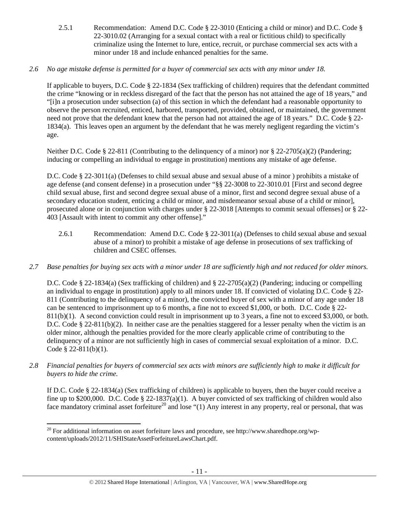- 2.5.1 Recommendation: Amend D.C. Code § 22-3010 (Enticing a child or minor) and D.C. Code § 22-3010.02 (Arranging for a sexual contact with a real or fictitious child) to specifically criminalize using the Internet to lure, entice, recruit, or purchase commercial sex acts with a minor under 18 and include enhanced penalties for the same.
- *2.6 No age mistake defense is permitted for a buyer of commercial sex acts with any minor under 18.*

If applicable to buyers, D.C. Code § 22-1834 (Sex trafficking of children) requires that the defendant committed the crime "knowing or in reckless disregard of the fact that the person has not attained the age of 18 years," and "[i]n a prosecution under subsection (a) of this section in which the defendant had a reasonable opportunity to observe the person recruited, enticed, harbored, transported, provided, obtained, or maintained, the government need not prove that the defendant knew that the person had not attained the age of 18 years." D.C. Code § 22- 1834(a). This leaves open an argument by the defendant that he was merely negligent regarding the victim's age.

Neither D.C. Code § 22-811 (Contributing to the delinquency of a minor) nor § 22-2705(a)(2) (Pandering; inducing or compelling an individual to engage in prostitution) mentions any mistake of age defense.

D.C. Code § 22-3011(a) (Defenses to child sexual abuse and sexual abuse of a minor ) prohibits a mistake of age defense (and consent defense) in a prosecution under "§§ 22-3008 to 22-3010.01 [First and second degree child sexual abuse, first and second degree sexual abuse of a minor, first and second degree sexual abuse of a secondary education student, enticing a child or minor, and misdemeanor sexual abuse of a child or minor], prosecuted alone or in conjunction with charges under § 22-3018 [Attempts to commit sexual offenses] or § 22- 403 [Assault with intent to commit any other offense]."

- 2.6.1 Recommendation: Amend D.C. Code § 22-3011(a) (Defenses to child sexual abuse and sexual abuse of a minor) to prohibit a mistake of age defense in prosecutions of sex trafficking of children and CSEC offenses.
- *2.7 Base penalties for buying sex acts with a minor under 18 are sufficiently high and not reduced for older minors.*

D.C. Code § 22-1834(a) (Sex trafficking of children) and § 22-2705(a)(2) (Pandering; inducing or compelling an individual to engage in prostitution) apply to all minors under 18. If convicted of violating D.C. Code § 22- 811 (Contributing to the delinquency of a minor), the convicted buyer of sex with a minor of any age under 18 can be sentenced to imprisonment up to 6 months, a fine not to exceed \$1,000, or both. D.C. Code § 22- 811(b)(1). A second conviction could result in imprisonment up to 3 years, a fine not to exceed \$3,000, or both. D.C. Code § 22-811(b)(2). In neither case are the penalties staggered for a lesser penalty when the victim is an older minor, although the penalties provided for the more clearly applicable crime of contributing to the delinquency of a minor are not sufficiently high in cases of commercial sexual exploitation of a minor. D.C. Code § 22-811(b)(1).

*2.8 Financial penalties for buyers of commercial sex acts with minors are sufficiently high to make it difficult for buyers to hide the crime.* 

If D.C. Code § 22-1834(a) (Sex trafficking of children) is applicable to buyers, then the buyer could receive a fine up to \$200,000. D.C. Code § 22-1837(a)(1). A buyer convicted of sex trafficking of children would also face mandatory criminal asset forfeiture<sup>20</sup> and lose "(1) Any interest in any property, real or personal, that was

 <sup>20</sup> For additional information on asset forfeiture laws and procedure, see http://www.sharedhope.org/wpcontent/uploads/2012/11/SHIStateAssetForfeitureLawsChart.pdf.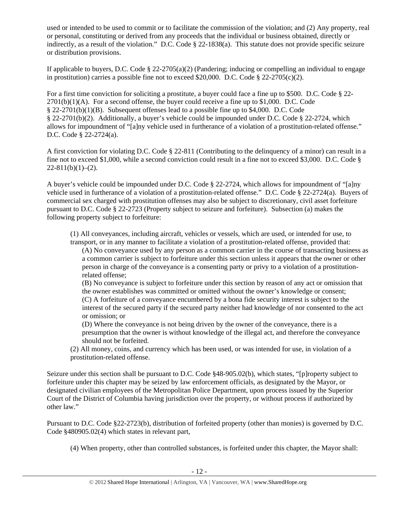used or intended to be used to commit or to facilitate the commission of the violation; and (2) Any property, real or personal, constituting or derived from any proceeds that the individual or business obtained, directly or indirectly, as a result of the violation." D.C. Code § 22-1838(a). This statute does not provide specific seizure or distribution provisions.

If applicable to buyers, D.C. Code  $\S$  22-2705(a)(2) (Pandering; inducing or compelling an individual to engage in prostitution) carries a possible fine not to exceed \$20,000. D.C. Code § 22-2705(c)(2).

For a first time conviction for soliciting a prostitute, a buyer could face a fine up to \$500. D.C. Code § 22-  $2701(b)(1)(A)$ . For a second offense, the buyer could receive a fine up to \$1,000. D.C. Code § 22-2701(b)(1)(B). Subsequent offenses lead to a possible fine up to \$4,000. D.C. Code § 22-2701(b)(2). Additionally, a buyer's vehicle could be impounded under D.C. Code § 22-2724, which allows for impoundment of "[a]ny vehicle used in furtherance of a violation of a prostitution-related offense." D.C. Code § 22-2724(a).

A first conviction for violating D.C. Code § 22-811 (Contributing to the delinquency of a minor) can result in a fine not to exceed \$1,000, while a second conviction could result in a fine not to exceed \$3,000. D.C. Code §  $22-811(b)(1)-(2)$ .

A buyer's vehicle could be impounded under D.C. Code § 22-2724, which allows for impoundment of "[a]ny vehicle used in furtherance of a violation of a prostitution-related offense." D.C. Code § 22-2724(a). Buyers of commercial sex charged with prostitution offenses may also be subject to discretionary, civil asset forfeiture pursuant to D.C. Code § 22-2723 (Property subject to seizure and forfeiture). Subsection (a) makes the following property subject to forfeiture:

(1) All conveyances, including aircraft, vehicles or vessels, which are used, or intended for use, to transport, or in any manner to facilitate a violation of a prostitution-related offense, provided that:

(A) No conveyance used by any person as a common carrier in the course of transacting business as a common carrier is subject to forfeiture under this section unless it appears that the owner or other person in charge of the conveyance is a consenting party or privy to a violation of a prostitutionrelated offense;

(B) No conveyance is subject to forfeiture under this section by reason of any act or omission that the owner establishes was committed or omitted without the owner's knowledge or consent; (C) A forfeiture of a conveyance encumbered by a bona fide security interest is subject to the interest of the secured party if the secured party neither had knowledge of nor consented to the act or omission; or

(D) Where the conveyance is not being driven by the owner of the conveyance, there is a presumption that the owner is without knowledge of the illegal act, and therefore the conveyance should not be forfeited.

(2) All money, coins, and currency which has been used, or was intended for use, in violation of a prostitution-related offense.

Seizure under this section shall be pursuant to D.C. Code §48-905.02(b), which states, "[p]roperty subject to forfeiture under this chapter may be seized by law enforcement officials, as designated by the Mayor, or designated civilian employees of the Metropolitan Police Department, upon process issued by the Superior Court of the District of Columbia having jurisdiction over the property, or without process if authorized by other law."

Pursuant to D.C. Code §22-2723(b), distribution of forfeited property (other than monies) is governed by D.C. Code §480905.02(4) which states in relevant part,

(4) When property, other than controlled substances, is forfeited under this chapter, the Mayor shall: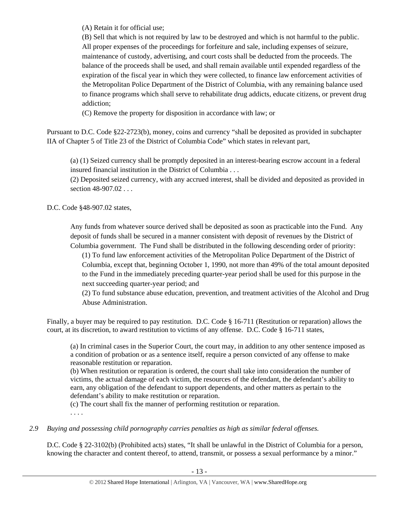(A) Retain it for official use;

(B) Sell that which is not required by law to be destroyed and which is not harmful to the public. All proper expenses of the proceedings for forfeiture and sale, including expenses of seizure, maintenance of custody, advertising, and court costs shall be deducted from the proceeds. The balance of the proceeds shall be used, and shall remain available until expended regardless of the expiration of the fiscal year in which they were collected, to finance law enforcement activities of the Metropolitan Police Department of the District of Columbia, with any remaining balance used to finance programs which shall serve to rehabilitate drug addicts, educate citizens, or prevent drug addiction;

(C) Remove the property for disposition in accordance with law; or

Pursuant to D.C. Code §22-2723(b), money, coins and currency "shall be deposited as provided in subchapter IIA of Chapter 5 of Title 23 of the District of Columbia Code" which states in relevant part,

(a) (1) Seized currency shall be promptly deposited in an interest-bearing escrow account in a federal insured financial institution in the District of Columbia . . .

(2) Deposited seized currency, with any accrued interest, shall be divided and deposited as provided in section 48-907.02 . . .

D.C. Code §48-907.02 states,

Any funds from whatever source derived shall be deposited as soon as practicable into the Fund. Any deposit of funds shall be secured in a manner consistent with deposit of revenues by the District of Columbia government. The Fund shall be distributed in the following descending order of priority:

(1) To fund law enforcement activities of the Metropolitan Police Department of the District of Columbia, except that, beginning October 1, 1990, not more than 49% of the total amount deposited to the Fund in the immediately preceding quarter-year period shall be used for this purpose in the next succeeding quarter-year period; and

(2) To fund substance abuse education, prevention, and treatment activities of the Alcohol and Drug Abuse Administration.

Finally, a buyer may be required to pay restitution. D.C. Code § 16-711 (Restitution or reparation) allows the court, at its discretion, to award restitution to victims of any offense. D.C. Code § 16-711 states,

(a) In criminal cases in the Superior Court, the court may, in addition to any other sentence imposed as a condition of probation or as a sentence itself, require a person convicted of any offense to make reasonable restitution or reparation.

(b) When restitution or reparation is ordered, the court shall take into consideration the number of victims, the actual damage of each victim, the resources of the defendant, the defendant's ability to earn, any obligation of the defendant to support dependents, and other matters as pertain to the defendant's ability to make restitution or reparation.

(c) The court shall fix the manner of performing restitution or reparation.

. . . .

*2.9 Buying and possessing child pornography carries penalties as high as similar federal offenses.* 

D.C. Code § 22-3102(b) (Prohibited acts) states, "It shall be unlawful in the District of Columbia for a person, knowing the character and content thereof, to attend, transmit, or possess a sexual performance by a minor."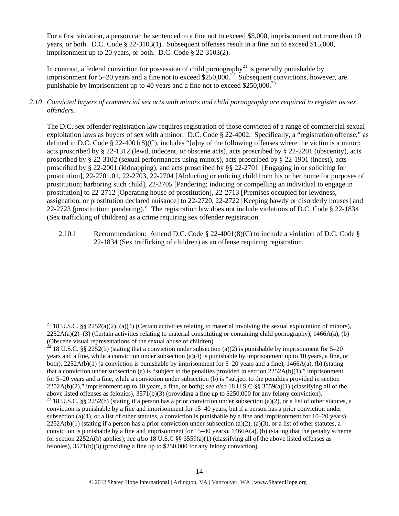For a first violation, a person can be sentenced to a fine not to exceed \$5,000, imprisonment not more than 10 years, or both. D.C. Code § 22-3103(1). Subsequent offenses result in a fine not to exceed \$15,000, imprisonment up to 20 years, or both. D.C. Code § 22-3103(2).

In contrast, a federal conviction for possession of child pornography<sup>21</sup> is generally punishable by imprisonment for 5–20 years and a fine not to exceed  $$250,000.<sup>22</sup>$  Subsequent convictions, however, are punishable by imprisonment up to 40 years and a fine not to exceed  $$250,000.<sup>23</sup>$ 

# *2.10 Convicted buyers of commercial sex acts with minors and child pornography are required to register as sex offenders.*

The D.C. sex offender registration law requires registration of those convicted of a range of commercial sexual exploitation laws as buyers of sex with a minor. D.C. Code § 22-4002. Specifically, a "registration offense," as defined in D.C. Code § 22-4001(8)(C), includes "[a]ny of the following offenses where the victim is a minor: acts proscribed by § 22-1312 (lewd, indecent, or obscene acts), acts proscribed by § 22-2201 (obscenity), acts proscribed by § 22-3102 (sexual performances using minors), acts proscribed by § 22-1901 (incest), acts proscribed by § 22-2001 (kidnapping), and acts proscribed by §§ 22-2701 [Engaging in or soliciting for prostitution], 22-2701.01, 22-2703, 22-2704 [Abducting or enticing child from his or her home for purposes of prostitution; harboring such child], 22-2705 [Pandering; inducing or compelling an individual to engage in prostitution] to 22-2712 [Operating house of prostitution], 22-2713 [Premises occupied for lewdness, assignation, or prostitution declared nuisance] to 22-2720, 22-2722 [Keeping bawdy or disorderly houses] and 22-2723 (prostitution; pandering)." The registration law does not include violations of D.C. Code § 22-1834 (Sex trafficking of children) as a crime requiring sex offender registration.

2.10.1 Recommendation: Amend D.C. Code § 22-4001(8)(C) to include a violation of D.C. Code § 22-1834 (Sex trafficking of children) as an offense requiring registration.

 <sup>21</sup> 18 U.S.C. §§ 2252(a)(2), (a)(4) (Certain activities relating to material involving the sexual exploitation of minors),  $2252A(a)(2)$ –(3) (Certain activities relating to material constituting or containing child pornography), 1466A(a), (b) (Obscene visual representations of the sexual abuse of children).

<sup>&</sup>lt;sup>22</sup> 18 U.S.C. §§ 2252(b) (stating that a conviction under subsection (a)(2) is punishable by imprisonment for 5–20 years and a fine, while a conviction under subsection (a)(4) is punishable by imprisonment up to 10 years, a fine, or both),  $2252A(b)(1)$  (a conviction is punishable by imprisonment for 5–20 years and a fine),  $1466A(a)$ , (b) (stating that a conviction under subsection (a) is "subject to the penalties provided in section  $2252A(b)(1)$ ," imprisonment for 5–20 years and a fine, while a conviction under subsection (b) is "subject to the penalties provided in section 2252A(b)(2)," imprisonment up to 10 years, a fine, or both); *see also* 18 U.S.C §§ 3559(a)(1) (classifying all of the above listed offenses as felonies), 3571(b)(3) (providing a fine up to \$250,000 for any felony conviction). <sup>23</sup> 18 U.S.C. §§ 2252(b) (stating if a person has a prior conviction under subsection (a)(2), or a list of other statutes, a conviction is punishable by a fine and imprisonment for 15–40 years, but if a person has a prior conviction under subsection (a)(4), or a list of other statutes, a conviction is punishable by a fine and imprisonment for  $10-20$  years),  $2252A(b)(1)$  (stating if a person has a prior conviction under subsection (a)(2), (a)(3), or a list of other statutes, a

conviction is punishable by a fine and imprisonment for  $15-40$  years),  $1466A(a)$ , (b) (stating that the penalty scheme for section 2252A(b) applies); *see also* 18 U.S.C §§ 3559(a)(1) (classifying all of the above listed offenses as felonies), 3571(b)(3) (providing a fine up to \$250,000 for any felony conviction).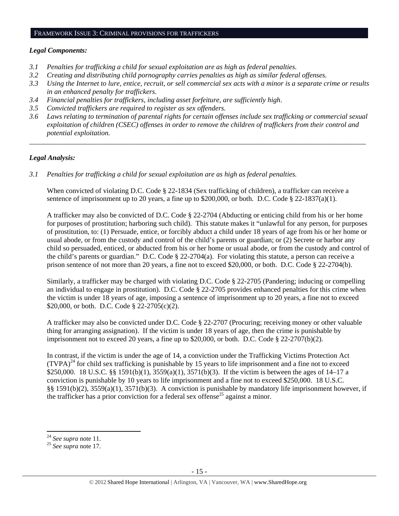#### FRAMEWORK ISSUE 3: CRIMINAL PROVISIONS FOR TRAFFICKERS

### *Legal Components:*

- *3.1 Penalties for trafficking a child for sexual exploitation are as high as federal penalties.*
- *3.2 Creating and distributing child pornography carries penalties as high as similar federal offenses.*
- *3.3 Using the Internet to lure, entice, recruit, or sell commercial sex acts with a minor is a separate crime or results in an enhanced penalty for traffickers.*
- *3.4 Financial penalties for traffickers, including asset forfeiture, are sufficiently high*.
- *3.5 Convicted traffickers are required to register as sex offenders.*
- *3.6 Laws relating to termination of parental rights for certain offenses include sex trafficking or commercial sexual exploitation of children (CSEC) offenses in order to remove the children of traffickers from their control and potential exploitation.*

*\_\_\_\_\_\_\_\_\_\_\_\_\_\_\_\_\_\_\_\_\_\_\_\_\_\_\_\_\_\_\_\_\_\_\_\_\_\_\_\_\_\_\_\_\_\_\_\_\_\_\_\_\_\_\_\_\_\_\_\_\_\_\_\_\_\_\_\_\_\_\_\_\_\_\_\_\_\_\_\_\_\_\_\_\_\_\_\_\_\_\_\_\_\_* 

## *Legal Analysis:*

*3.1 Penalties for trafficking a child for sexual exploitation are as high as federal penalties.* 

When convicted of violating D.C. Code § 22-1834 (Sex trafficking of children), a trafficker can receive a sentence of imprisonment up to 20 years, a fine up to  $$200,000$ , or both. D.C. Code  $$22-1837(a)(1)$ .

A trafficker may also be convicted of D.C. Code § 22-2704 (Abducting or enticing child from his or her home for purposes of prostitution; harboring such child). This statute makes it "unlawful for any person, for purposes of prostitution, to: (1) Persuade, entice, or forcibly abduct a child under 18 years of age from his or her home or usual abode, or from the custody and control of the child's parents or guardian; or (2) Secrete or harbor any child so persuaded, enticed, or abducted from his or her home or usual abode, or from the custody and control of the child's parents or guardian." D.C. Code § 22-2704(a). For violating this statute, a person can receive a prison sentence of not more than 20 years, a fine not to exceed \$20,000, or both. D.C. Code § 22-2704(b).

Similarly, a trafficker may be charged with violating D.C. Code § 22-2705 (Pandering; inducing or compelling an individual to engage in prostitution). D.C. Code § 22-2705 provides enhanced penalties for this crime when the victim is under 18 years of age, imposing a sentence of imprisonment up to 20 years, a fine not to exceed \$20,000, or both. D.C. Code § 22-2705(c)(2).

A trafficker may also be convicted under D.C. Code § 22-2707 (Procuring; receiving money or other valuable thing for arranging assignation). If the victim is under 18 years of age, then the crime is punishable by imprisonment not to exceed 20 years, a fine up to \$20,000, or both. D.C. Code § 22-2707(b)(2).

In contrast, if the victim is under the age of 14, a conviction under the Trafficking Victims Protection Act  $(TVPA)<sup>24</sup>$  for child sex trafficking is punishable by 15 years to life imprisonment and a fine not to exceed \$250,000. 18 U.S.C. §§ 1591(b)(1), 3559(a)(1), 3571(b)(3). If the victim is between the ages of 14–17 a conviction is punishable by 10 years to life imprisonment and a fine not to exceed \$250,000. 18 U.S.C. §§ 1591(b)(2), 3559(a)(1), 3571(b)(3). A conviction is punishable by mandatory life imprisonment however, if the trafficker has a prior conviction for a federal sex offense<sup>25</sup> against a minor.

 $24$  See supra note 11.

<sup>24</sup> *See supra* note 11. 25 *See supra* note 17.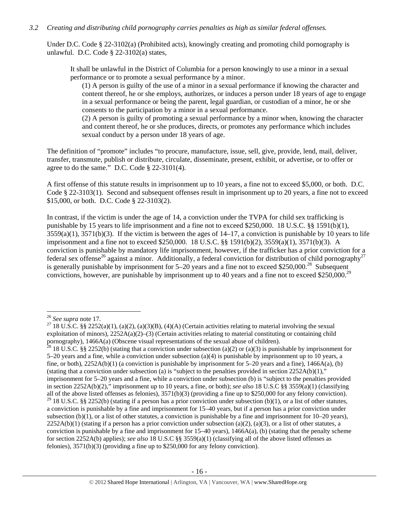## *3.2 Creating and distributing child pornography carries penalties as high as similar federal offenses.*

Under D.C. Code § 22-3102(a) (Prohibited acts), knowingly creating and promoting child pornography is unlawful. D.C. Code § 22-3102(a) states,

It shall be unlawful in the District of Columbia for a person knowingly to use a minor in a sexual performance or to promote a sexual performance by a minor.

(1) A person is guilty of the use of a minor in a sexual performance if knowing the character and content thereof, he or she employs, authorizes, or induces a person under 18 years of age to engage in a sexual performance or being the parent, legal guardian, or custodian of a minor, he or she consents to the participation by a minor in a sexual performance.

(2) A person is guilty of promoting a sexual performance by a minor when, knowing the character and content thereof, he or she produces, directs, or promotes any performance which includes sexual conduct by a person under 18 years of age.

The definition of "promote" includes "to procure, manufacture, issue, sell, give, provide, lend, mail, deliver, transfer, transmute, publish or distribute, circulate, disseminate, present, exhibit, or advertise, or to offer or agree to do the same." D.C. Code § 22-3101(4).

A first offense of this statute results in imprisonment up to 10 years, a fine not to exceed \$5,000, or both. D.C. Code § 22-3103(1). Second and subsequent offenses result in imprisonment up to 20 years, a fine not to exceed \$15,000, or both. D.C. Code § 22-3103(2).

In contrast, if the victim is under the age of 14, a conviction under the TVPA for child sex trafficking is punishable by 15 years to life imprisonment and a fine not to exceed \$250,000. 18 U.S.C. §§ 1591(b)(1),  $3559(a)(1)$ ,  $3571(b)(3)$ . If the victim is between the ages of  $14-17$ , a conviction is punishable by 10 years to life imprisonment and a fine not to exceed \$250,000. 18 U.S.C. §§ 1591(b)(2), 3559(a)(1), 3571(b)(3). A conviction is punishable by mandatory life imprisonment, however, if the trafficker has a prior conviction for a federal sex offense<sup>26</sup> against a minor. Additionally, a federal conviction for distribution of child pornography<sup>27</sup> is generally punishable by imprisonment for  $5-20$  years and a fine not to exceed \$250,000.<sup>28</sup> Subsequent convictions, however, are punishable by imprisonment up to 40 years and a fine not to exceed \$250,000.<sup>29</sup>

<sup>&</sup>lt;sup>26</sup> *See supra* note 17.<br><sup>27</sup> 18 U.S.C. §§ 2252(a)(1), (a)(2), (a)(3)(B), (4)(A) (Certain activities relating to material involving the sexual exploitation of minors),  $2252A(a)(2)$ –(3) (Certain activities relating to material constituting or containing child pornography), 1466A(a) (Obscene visual representations of the sexual abuse of children).

<sup>&</sup>lt;sup>28</sup> 18 U.S.C. §§ 2252(b) (stating that a conviction under subsection (a)(2) or (a)(3) is punishable by imprisonment for 5–20 years and a fine, while a conviction under subsection (a)(4) is punishable by imprisonment up to 10 years, a fine, or both),  $2252A(b)(1)$  (a conviction is punishable by imprisonment for 5–20 years and a fine),  $1466A(a)$ , (b) (stating that a conviction under subsection (a) is "subject to the penalties provided in section  $2252A(b)(1)$ ," imprisonment for 5–20 years and a fine, while a conviction under subsection (b) is "subject to the penalties provided in section 2252A(b)(2)," imprisonment up to 10 years, a fine, or both); *see also* 18 U.S.C §§ 3559(a)(1) (classifying all of the above listed offenses as felonies),  $3571(b)(3)$  (providing a fine up to \$250,000 for any felony conviction). <sup>29</sup> 18 U.S.C. §§ 2252(b) (stating if a person has a prior conviction under subsection (b)(1), or a list of other statutes, a conviction is punishable by a fine and imprisonment for 15–40 years, but if a person has a prior conviction under subsection  $(b)(1)$ , or a list of other statutes, a conviction is punishable by a fine and imprisonment for  $10-20$  years),  $2252A(b)(1)$  (stating if a person has a prior conviction under subsection (a)(2), (a)(3), or a list of other statutes, a conviction is punishable by a fine and imprisonment for  $15-40$  years),  $1466A(a)$ , (b) (stating that the penalty scheme for section 2252A(b) applies); *see also* 18 U.S.C §§ 3559(a)(1) (classifying all of the above listed offenses as felonies), 3571(b)(3) (providing a fine up to \$250,000 for any felony conviction).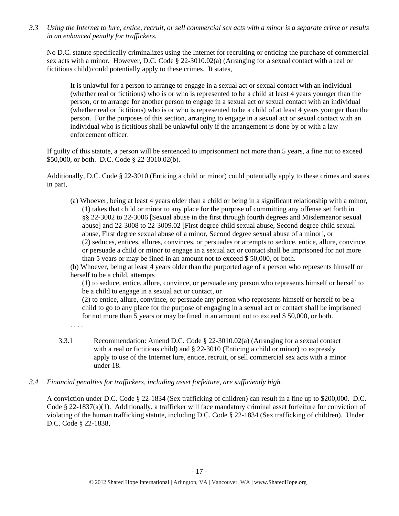*3.3 Using the Internet to lure, entice, recruit, or sell commercial sex acts with a minor is a separate crime or results in an enhanced penalty for traffickers.* 

No D.C. statute specifically criminalizes using the Internet for recruiting or enticing the purchase of commercial sex acts with a minor. However, D.C. Code § 22-3010.02(a) (Arranging for a sexual contact with a real or fictitious child) could potentially apply to these crimes. It states,

It is unlawful for a person to arrange to engage in a sexual act or sexual contact with an individual (whether real or fictitious) who is or who is represented to be a child at least 4 years younger than the person, or to arrange for another person to engage in a sexual act or sexual contact with an individual (whether real or fictitious) who is or who is represented to be a child of at least 4 years younger than the person. For the purposes of this section, arranging to engage in a sexual act or sexual contact with an individual who is fictitious shall be unlawful only if the arrangement is done by or with a law enforcement officer.

If guilty of this statute, a person will be sentenced to imprisonment not more than 5 years, a fine not to exceed \$50,000, or both. D.C. Code § 22-3010.02(b).

Additionally, D.C. Code § 22-3010 (Enticing a child or minor) could potentially apply to these crimes and states in part,

(a) Whoever, being at least 4 years older than a child or being in a significant relationship with a minor, (1) takes that child or minor to any place for the purpose of committing any offense set forth in §§ 22-3002 to 22-3006 [Sexual abuse in the first through fourth degrees and Misdemeanor sexual abuse] and 22-3008 to 22-3009.02 [First degree child sexual abuse, Second degree child sexual abuse, First degree sexual abuse of a minor, Second degree sexual abuse of a minor], or (2) seduces, entices, allures, convinces, or persuades or attempts to seduce, entice, allure, convince, or persuade a child or minor to engage in a sexual act or contact shall be imprisoned for not more than 5 years or may be fined in an amount not to exceed \$ 50,000, or both.

(b) Whoever, being at least 4 years older than the purported age of a person who represents himself or herself to be a child, attempts

(1) to seduce, entice, allure, convince, or persuade any person who represents himself or herself to be a child to engage in a sexual act or contact, or

(2) to entice, allure, convince, or persuade any person who represents himself or herself to be a child to go to any place for the purpose of engaging in a sexual act or contact shall be imprisoned for not more than 5 years or may be fined in an amount not to exceed \$ 50,000, or both.

. . . .

- 3.3.1 Recommendation: Amend D.C. Code § 22-3010.02(a) (Arranging for a sexual contact with a real or fictitious child) and § 22-3010 (Enticing a child or minor) to expressly apply to use of the Internet lure, entice, recruit, or sell commercial sex acts with a minor under 18.
- *3.4 Financial penalties for traffickers, including asset forfeiture, are sufficiently high.*

A conviction under D.C. Code § 22-1834 (Sex trafficking of children) can result in a fine up to \$200,000. D.C. Code § 22-1837(a)(1). Additionally, a trafficker will face mandatory criminal asset forfeiture for conviction of violating of the human trafficking statute, including D.C. Code § 22-1834 (Sex trafficking of children). Under D.C. Code § 22-1838,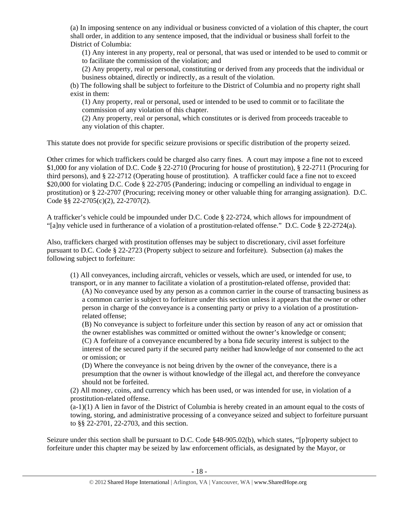(a) In imposing sentence on any individual or business convicted of a violation of this chapter, the court shall order, in addition to any sentence imposed, that the individual or business shall forfeit to the District of Columbia:

(1) Any interest in any property, real or personal, that was used or intended to be used to commit or to facilitate the commission of the violation; and

(2) Any property, real or personal, constituting or derived from any proceeds that the individual or business obtained, directly or indirectly, as a result of the violation.

(b) The following shall be subject to forfeiture to the District of Columbia and no property right shall exist in them:

(1) Any property, real or personal, used or intended to be used to commit or to facilitate the commission of any violation of this chapter.

(2) Any property, real or personal, which constitutes or is derived from proceeds traceable to any violation of this chapter.

This statute does not provide for specific seizure provisions or specific distribution of the property seized.

Other crimes for which traffickers could be charged also carry fines. A court may impose a fine not to exceed \$1,000 for any violation of D.C. Code § 22-2710 (Procuring for house of prostitution), § 22-2711 (Procuring for third persons), and § 22-2712 (Operating house of prostitution). A trafficker could face a fine not to exceed \$20,000 for violating D.C. Code § 22-2705 (Pandering; inducing or compelling an individual to engage in prostitution) or § 22-2707 (Procuring; receiving money or other valuable thing for arranging assignation). D.C. Code §§ 22-2705(c)(2), 22-2707(2).

A trafficker's vehicle could be impounded under D.C. Code § 22-2724, which allows for impoundment of "[a]ny vehicle used in furtherance of a violation of a prostitution-related offense." D.C. Code § 22-2724(a).

Also, traffickers charged with prostitution offenses may be subject to discretionary, civil asset forfeiture pursuant to D.C. Code § 22-2723 (Property subject to seizure and forfeiture). Subsection (a) makes the following subject to forfeiture:

(1) All conveyances, including aircraft, vehicles or vessels, which are used, or intended for use, to transport, or in any manner to facilitate a violation of a prostitution-related offense, provided that:

(A) No conveyance used by any person as a common carrier in the course of transacting business as a common carrier is subject to forfeiture under this section unless it appears that the owner or other person in charge of the conveyance is a consenting party or privy to a violation of a prostitutionrelated offense;

(B) No conveyance is subject to forfeiture under this section by reason of any act or omission that the owner establishes was committed or omitted without the owner's knowledge or consent; (C) A forfeiture of a conveyance encumbered by a bona fide security interest is subject to the interest of the secured party if the secured party neither had knowledge of nor consented to the act or omission; or

(D) Where the conveyance is not being driven by the owner of the conveyance, there is a presumption that the owner is without knowledge of the illegal act, and therefore the conveyance should not be forfeited.

(2) All money, coins, and currency which has been used, or was intended for use, in violation of a prostitution-related offense.

 $(a-1)(1)$  A lien in favor of the District of Columbia is hereby created in an amount equal to the costs of towing, storing, and administrative processing of a conveyance seized and subject to forfeiture pursuant to §§ 22-2701, 22-2703, and this section.

Seizure under this section shall be pursuant to D.C. Code §48-905.02(b), which states, "[p]roperty subject to forfeiture under this chapter may be seized by law enforcement officials, as designated by the Mayor, or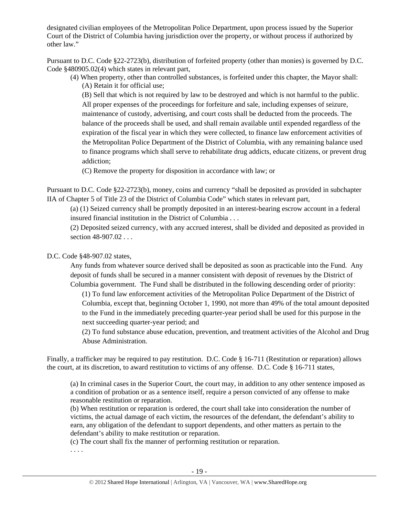designated civilian employees of the Metropolitan Police Department, upon process issued by the Superior Court of the District of Columbia having jurisdiction over the property, or without process if authorized by other law."

Pursuant to D.C. Code §22-2723(b), distribution of forfeited property (other than monies) is governed by D.C. Code §480905.02(4) which states in relevant part,

(4) When property, other than controlled substances, is forfeited under this chapter, the Mayor shall: (A) Retain it for official use;

(B) Sell that which is not required by law to be destroyed and which is not harmful to the public. All proper expenses of the proceedings for forfeiture and sale, including expenses of seizure, maintenance of custody, advertising, and court costs shall be deducted from the proceeds. The balance of the proceeds shall be used, and shall remain available until expended regardless of the expiration of the fiscal year in which they were collected, to finance law enforcement activities of the Metropolitan Police Department of the District of Columbia, with any remaining balance used to finance programs which shall serve to rehabilitate drug addicts, educate citizens, or prevent drug addiction;

(C) Remove the property for disposition in accordance with law; or

Pursuant to D.C. Code §22-2723(b), money, coins and currency "shall be deposited as provided in subchapter IIA of Chapter 5 of Title 23 of the District of Columbia Code" which states in relevant part,

(a) (1) Seized currency shall be promptly deposited in an interest-bearing escrow account in a federal insured financial institution in the District of Columbia . . .

(2) Deposited seized currency, with any accrued interest, shall be divided and deposited as provided in section 48-907.02 . . .

# D.C. Code §48-907.02 states,

Any funds from whatever source derived shall be deposited as soon as practicable into the Fund. Any deposit of funds shall be secured in a manner consistent with deposit of revenues by the District of Columbia government. The Fund shall be distributed in the following descending order of priority:

(1) To fund law enforcement activities of the Metropolitan Police Department of the District of Columbia, except that, beginning October 1, 1990, not more than 49% of the total amount deposited to the Fund in the immediately preceding quarter-year period shall be used for this purpose in the next succeeding quarter-year period; and

(2) To fund substance abuse education, prevention, and treatment activities of the Alcohol and Drug Abuse Administration.

Finally, a trafficker may be required to pay restitution. D.C. Code § 16-711 (Restitution or reparation) allows the court, at its discretion, to award restitution to victims of any offense. D.C. Code § 16-711 states,

(a) In criminal cases in the Superior Court, the court may, in addition to any other sentence imposed as a condition of probation or as a sentence itself, require a person convicted of any offense to make reasonable restitution or reparation.

(b) When restitution or reparation is ordered, the court shall take into consideration the number of victims, the actual damage of each victim, the resources of the defendant, the defendant's ability to earn, any obligation of the defendant to support dependents, and other matters as pertain to the defendant's ability to make restitution or reparation.

(c) The court shall fix the manner of performing restitution or reparation.

. . . .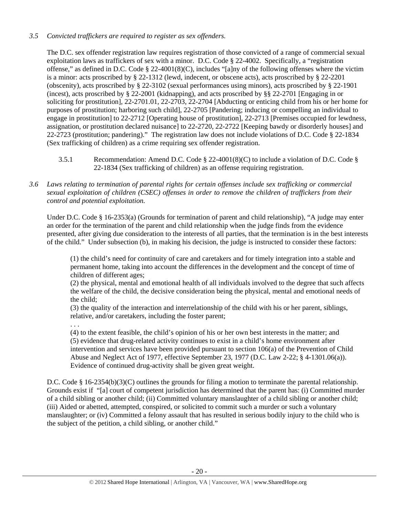# *3.5 Convicted traffickers are required to register as sex offenders.*

The D.C. sex offender registration law requires registration of those convicted of a range of commercial sexual exploitation laws as traffickers of sex with a minor. D.C. Code § 22-4002. Specifically, a "registration offense," as defined in D.C. Code § 22-4001(8)(C), includes "[a]ny of the following offenses where the victim is a minor: acts proscribed by § 22-1312 (lewd, indecent, or obscene acts), acts proscribed by § 22-2201 (obscenity), acts proscribed by § 22-3102 (sexual performances using minors), acts proscribed by § 22-1901 (incest), acts proscribed by § 22-2001 (kidnapping), and acts proscribed by §§ 22-2701 [Engaging in or soliciting for prostitution], 22-2701.01, 22-2703, 22-2704 [Abducting or enticing child from his or her home for purposes of prostitution; harboring such child], 22-2705 [Pandering; inducing or compelling an individual to engage in prostitution] to 22-2712 [Operating house of prostitution], 22-2713 [Premises occupied for lewdness, assignation, or prostitution declared nuisance] to 22-2720, 22-2722 [Keeping bawdy or disorderly houses] and 22-2723 (prostitution; pandering)." The registration law does not include violations of D.C. Code § 22-1834 (Sex trafficking of children) as a crime requiring sex offender registration.

- 3.5.1 Recommendation: Amend D.C. Code § 22-4001(8)(C) to include a violation of D.C. Code § 22-1834 (Sex trafficking of children) as an offense requiring registration.
- *3.6 Laws relating to termination of parental rights for certain offenses include sex trafficking or commercial sexual exploitation of children (CSEC) offenses in order to remove the children of traffickers from their control and potential exploitation.*

Under D.C. Code § 16-2353(a) (Grounds for termination of parent and child relationship), "A judge may enter an order for the termination of the parent and child relationship when the judge finds from the evidence presented, after giving due consideration to the interests of all parties, that the termination is in the best interests of the child." Under subsection (b), in making his decision, the judge is instructed to consider these factors:

(1) the child's need for continuity of care and caretakers and for timely integration into a stable and permanent home, taking into account the differences in the development and the concept of time of children of different ages;

(2) the physical, mental and emotional health of all individuals involved to the degree that such affects the welfare of the child, the decisive consideration being the physical, mental and emotional needs of the child;

(3) the quality of the interaction and interrelationship of the child with his or her parent, siblings, relative, and/or caretakers, including the foster parent;

. . .

(4) to the extent feasible, the child's opinion of his or her own best interests in the matter; and (5) evidence that drug-related activity continues to exist in a child's home environment after intervention and services have been provided pursuant to section 106(a) of the Prevention of Child Abuse and Neglect Act of 1977, effective September 23, 1977 (D.C. Law 2-22; § 4-1301.06(a)). Evidence of continued drug-activity shall be given great weight.

D.C. Code § 16-2354(b)(3)(C) outlines the grounds for filing a motion to terminate the parental relationship. Grounds exist if "[a] court of competent jurisdiction has determined that the parent has: (i) Committed murder of a child sibling or another child; (ii) Committed voluntary manslaughter of a child sibling or another child; (iii) Aided or abetted, attempted, conspired, or solicited to commit such a murder or such a voluntary manslaughter; or (iv) Committed a felony assault that has resulted in serious bodily injury to the child who is the subject of the petition, a child sibling, or another child."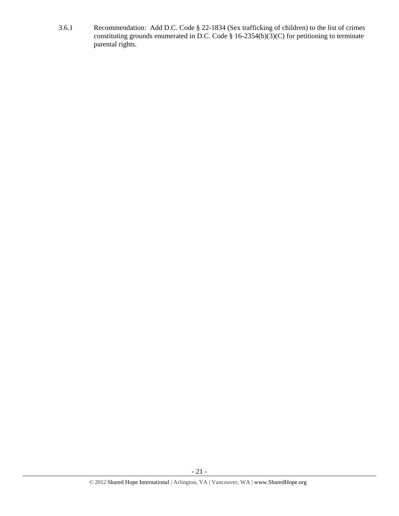3.6.1 Recommendation: Add D.C. Code § 22-1834 (Sex trafficking of children) to the list of crimes constituting grounds enumerated in D.C. Code § 16-2354(b)(3)(C) for petitioning to terminate parental rights.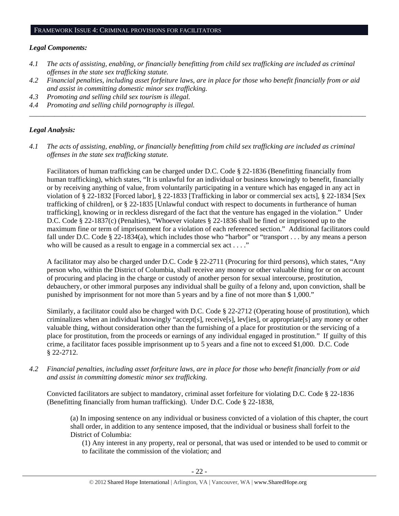## *Legal Components:*

- *4.1 The acts of assisting, enabling, or financially benefitting from child sex trafficking are included as criminal offenses in the state sex trafficking statute.*
- *4.2 Financial penalties, including asset forfeiture laws, are in place for those who benefit financially from or aid and assist in committing domestic minor sex trafficking.*

*\_\_\_\_\_\_\_\_\_\_\_\_\_\_\_\_\_\_\_\_\_\_\_\_\_\_\_\_\_\_\_\_\_\_\_\_\_\_\_\_\_\_\_\_\_\_\_\_\_\_\_\_\_\_\_\_\_\_\_\_\_\_\_\_\_\_\_\_\_\_\_\_\_\_\_\_\_\_\_\_\_\_\_\_\_\_\_\_\_\_\_\_\_\_* 

- *4.3 Promoting and selling child sex tourism is illegal.*
- *4.4 Promoting and selling child pornography is illegal.*

## *Legal Analysis:*

*4.1 The acts of assisting, enabling, or financially benefitting from child sex trafficking are included as criminal offenses in the state sex trafficking statute.*

Facilitators of human trafficking can be charged under D.C. Code § 22-1836 (Benefitting financially from human trafficking), which states, "It is unlawful for an individual or business knowingly to benefit, financially or by receiving anything of value, from voluntarily participating in a venture which has engaged in any act in violation of § 22-1832 [Forced labor], § 22-1833 [Trafficking in labor or commercial sex acts], § 22-1834 [Sex trafficking of children], or § 22-1835 [Unlawful conduct with respect to documents in furtherance of human trafficking], knowing or in reckless disregard of the fact that the venture has engaged in the violation." Under D.C. Code § 22-1837(c) (Penalties), "Whoever violates § 22-1836 shall be fined or imprisoned up to the maximum fine or term of imprisonment for a violation of each referenced section." Additional facilitators could fall under D.C. Code § 22-1834(a), which includes those who "harbor" or "transport . . . by any means a person who will be caused as a result to engage in a commercial sex act . . . ."

A facilitator may also be charged under D.C. Code § 22-2711 (Procuring for third persons), which states, "Any person who, within the District of Columbia, shall receive any money or other valuable thing for or on account of procuring and placing in the charge or custody of another person for sexual intercourse, prostitution, debauchery, or other immoral purposes any individual shall be guilty of a felony and, upon conviction, shall be punished by imprisonment for not more than 5 years and by a fine of not more than \$ 1,000."

Similarly, a facilitator could also be charged with D.C. Code § 22-2712 (Operating house of prostitution), which criminalizes when an individual knowingly "accept[s], receive[s], lev[ies], or appropriate[s] any money or other valuable thing, without consideration other than the furnishing of a place for prostitution or the servicing of a place for prostitution, from the proceeds or earnings of any individual engaged in prostitution." If guilty of this crime, a facilitator faces possible imprisonment up to 5 years and a fine not to exceed \$1,000. D.C. Code § 22-2712.

*4.2 Financial penalties, including asset forfeiture laws, are in place for those who benefit financially from or aid and assist in committing domestic minor sex trafficking.* 

Convicted facilitators are subject to mandatory, criminal asset forfeiture for violating D.C. Code § 22-1836 (Benefitting financially from human trafficking). Under D.C. Code § 22-1838,

(a) In imposing sentence on any individual or business convicted of a violation of this chapter, the court shall order, in addition to any sentence imposed, that the individual or business shall forfeit to the District of Columbia:

(1) Any interest in any property, real or personal, that was used or intended to be used to commit or to facilitate the commission of the violation; and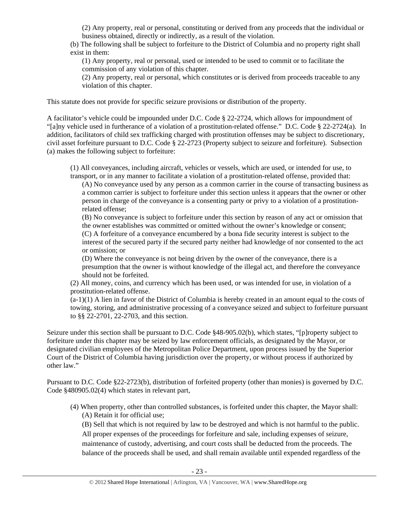(2) Any property, real or personal, constituting or derived from any proceeds that the individual or business obtained, directly or indirectly, as a result of the violation.

(b) The following shall be subject to forfeiture to the District of Columbia and no property right shall exist in them:

(1) Any property, real or personal, used or intended to be used to commit or to facilitate the commission of any violation of this chapter.

(2) Any property, real or personal, which constitutes or is derived from proceeds traceable to any violation of this chapter.

This statute does not provide for specific seizure provisions or distribution of the property.

A facilitator's vehicle could be impounded under D.C. Code § 22-2724, which allows for impoundment of "[a]ny vehicle used in furtherance of a violation of a prostitution-related offense." D.C. Code § 22-2724(a). In addition, facilitators of child sex trafficking charged with prostitution offenses may be subject to discretionary, civil asset forfeiture pursuant to D.C. Code § 22-2723 (Property subject to seizure and forfeiture). Subsection (a) makes the following subject to forfeiture:

(1) All conveyances, including aircraft, vehicles or vessels, which are used, or intended for use, to transport, or in any manner to facilitate a violation of a prostitution-related offense, provided that:

(A) No conveyance used by any person as a common carrier in the course of transacting business as a common carrier is subject to forfeiture under this section unless it appears that the owner or other person in charge of the conveyance is a consenting party or privy to a violation of a prostitutionrelated offense;

(B) No conveyance is subject to forfeiture under this section by reason of any act or omission that the owner establishes was committed or omitted without the owner's knowledge or consent; (C) A forfeiture of a conveyance encumbered by a bona fide security interest is subject to the interest of the secured party if the secured party neither had knowledge of nor consented to the act or omission; or

(D) Where the conveyance is not being driven by the owner of the conveyance, there is a presumption that the owner is without knowledge of the illegal act, and therefore the conveyance should not be forfeited.

(2) All money, coins, and currency which has been used, or was intended for use, in violation of a prostitution-related offense.

 $(a-1)(1)$  A lien in favor of the District of Columbia is hereby created in an amount equal to the costs of towing, storing, and administrative processing of a conveyance seized and subject to forfeiture pursuant to §§ 22-2701, 22-2703, and this section.

Seizure under this section shall be pursuant to D.C. Code §48-905.02(b), which states, "[p]roperty subject to forfeiture under this chapter may be seized by law enforcement officials, as designated by the Mayor, or designated civilian employees of the Metropolitan Police Department, upon process issued by the Superior Court of the District of Columbia having jurisdiction over the property, or without process if authorized by other law."

Pursuant to D.C. Code §22-2723(b), distribution of forfeited property (other than monies) is governed by D.C. Code §480905.02(4) which states in relevant part,

(4) When property, other than controlled substances, is forfeited under this chapter, the Mayor shall: (A) Retain it for official use;

(B) Sell that which is not required by law to be destroyed and which is not harmful to the public. All proper expenses of the proceedings for forfeiture and sale, including expenses of seizure, maintenance of custody, advertising, and court costs shall be deducted from the proceeds. The balance of the proceeds shall be used, and shall remain available until expended regardless of the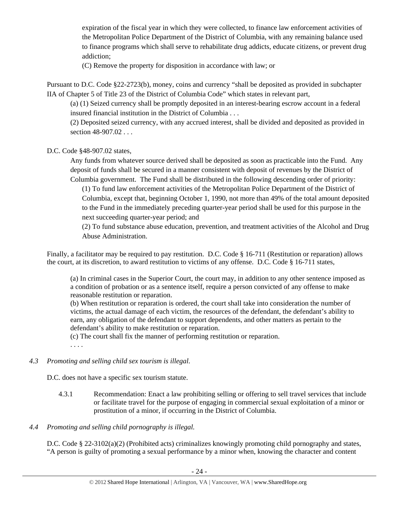expiration of the fiscal year in which they were collected, to finance law enforcement activities of the Metropolitan Police Department of the District of Columbia, with any remaining balance used to finance programs which shall serve to rehabilitate drug addicts, educate citizens, or prevent drug addiction;

(C) Remove the property for disposition in accordance with law; or

Pursuant to D.C. Code §22-2723(b), money, coins and currency "shall be deposited as provided in subchapter IIA of Chapter 5 of Title 23 of the District of Columbia Code" which states in relevant part,

(a) (1) Seized currency shall be promptly deposited in an interest-bearing escrow account in a federal insured financial institution in the District of Columbia . . .

(2) Deposited seized currency, with any accrued interest, shall be divided and deposited as provided in section 48-907.02 . . .

D.C. Code §48-907.02 states,

Any funds from whatever source derived shall be deposited as soon as practicable into the Fund. Any deposit of funds shall be secured in a manner consistent with deposit of revenues by the District of Columbia government. The Fund shall be distributed in the following descending order of priority:

(1) To fund law enforcement activities of the Metropolitan Police Department of the District of Columbia, except that, beginning October 1, 1990, not more than 49% of the total amount deposited to the Fund in the immediately preceding quarter-year period shall be used for this purpose in the next succeeding quarter-year period; and

(2) To fund substance abuse education, prevention, and treatment activities of the Alcohol and Drug Abuse Administration.

Finally, a facilitator may be required to pay restitution. D.C. Code § 16-711 (Restitution or reparation) allows the court, at its discretion, to award restitution to victims of any offense. D.C. Code § 16-711 states,

(a) In criminal cases in the Superior Court, the court may, in addition to any other sentence imposed as a condition of probation or as a sentence itself, require a person convicted of any offense to make reasonable restitution or reparation.

(b) When restitution or reparation is ordered, the court shall take into consideration the number of victims, the actual damage of each victim, the resources of the defendant, the defendant's ability to earn, any obligation of the defendant to support dependents, and other matters as pertain to the defendant's ability to make restitution or reparation.

(c) The court shall fix the manner of performing restitution or reparation.

. . . .

# *4.3 Promoting and selling child sex tourism is illegal*.

D.C. does not have a specific sex tourism statute.

4.3.1 Recommendation: Enact a law prohibiting selling or offering to sell travel services that include or facilitate travel for the purpose of engaging in commercial sexual exploitation of a minor or prostitution of a minor, if occurring in the District of Columbia.

# *4.4 Promoting and selling child pornography is illegal.*

D.C. Code § 22-3102(a)(2) (Prohibited acts) criminalizes knowingly promoting child pornography and states, "A person is guilty of promoting a sexual performance by a minor when, knowing the character and content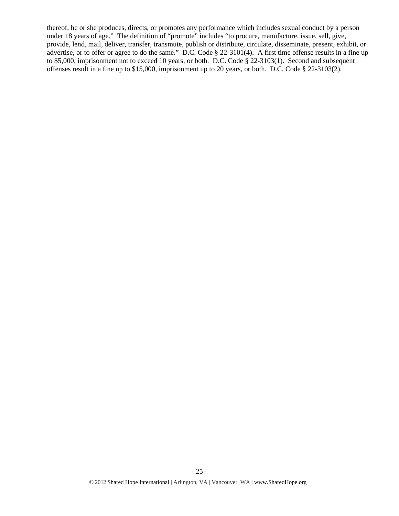thereof, he or she produces, directs, or promotes any performance which includes sexual conduct by a person under 18 years of age." The definition of "promote" includes "to procure, manufacture, issue, sell, give, provide, lend, mail, deliver, transfer, transmute, publish or distribute, circulate, disseminate, present, exhibit, or advertise, or to offer or agree to do the same." D.C. Code § 22-3101(4). A first time offense results in a fine up to \$5,000, imprisonment not to exceed 10 years, or both. D.C. Code § 22-3103(1). Second and subsequent offenses result in a fine up to \$15,000, imprisonment up to 20 years, or both. D.C. Code § 22-3103(2).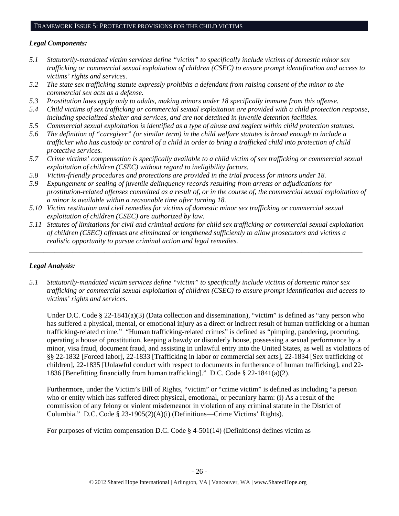# *Legal Components:*

- *5.1 Statutorily-mandated victim services define "victim" to specifically include victims of domestic minor sex trafficking or commercial sexual exploitation of children (CSEC) to ensure prompt identification and access to victims' rights and services.*
- *5.2 The state sex trafficking statute expressly prohibits a defendant from raising consent of the minor to the commercial sex acts as a defense.*
- *5.3 Prostitution laws apply only to adults, making minors under 18 specifically immune from this offense.*
- *5.4 Child victims of sex trafficking or commercial sexual exploitation are provided with a child protection response, including specialized shelter and services, and are not detained in juvenile detention facilities.*
- *5.5 Commercial sexual exploitation is identified as a type of abuse and neglect within child protection statutes.*
- *5.6 The definition of "caregiver" (or similar term) in the child welfare statutes is broad enough to include a trafficker who has custody or control of a child in order to bring a trafficked child into protection of child protective services.*
- *5.7 Crime victims' compensation is specifically available to a child victim of sex trafficking or commercial sexual exploitation of children (CSEC) without regard to ineligibility factors.*
- *5.8 Victim-friendly procedures and protections are provided in the trial process for minors under 18.*
- *5.9 Expungement or sealing of juvenile delinquency records resulting from arrests or adjudications for prostitution-related offenses committed as a result of, or in the course of, the commercial sexual exploitation of a minor is available within a reasonable time after turning 18.*
- *5.10 Victim restitution and civil remedies for victims of domestic minor sex trafficking or commercial sexual exploitation of children (CSEC) are authorized by law.*
- *5.11 Statutes of limitations for civil and criminal actions for child sex trafficking or commercial sexual exploitation of children (CSEC) offenses are eliminated or lengthened sufficiently to allow prosecutors and victims a realistic opportunity to pursue criminal action and legal remedies.*

*\_\_\_\_\_\_\_\_\_\_\_\_\_\_\_\_\_\_\_\_\_\_\_\_\_\_\_\_\_\_\_\_\_\_\_\_\_\_\_\_\_\_\_\_\_\_\_\_\_\_\_\_\_\_\_\_\_\_\_\_\_\_\_\_\_\_\_\_\_\_\_\_\_\_\_\_\_\_\_\_\_\_\_\_\_\_\_\_\_\_\_\_\_* 

# *Legal Analysis:*

*5.1 Statutorily-mandated victim services define "victim" to specifically include victims of domestic minor sex trafficking or commercial sexual exploitation of children (CSEC) to ensure prompt identification and access to victims' rights and services.* 

Under D.C. Code § 22-1841(a)(3) (Data collection and dissemination), "victim" is defined as "any person who has suffered a physical, mental, or emotional injury as a direct or indirect result of human trafficking or a human trafficking-related crime." "Human trafficking-related crimes" is defined as "pimping, pandering, procuring, operating a house of prostitution, keeping a bawdy or disorderly house, possessing a sexual performance by a minor, visa fraud, document fraud, and assisting in unlawful entry into the United States, as well as violations of §§ 22-1832 [Forced labor], 22-1833 [Trafficking in labor or commercial sex acts], 22-1834 [Sex trafficking of children], 22-1835 [Unlawful conduct with respect to documents in furtherance of human trafficking], and 22- 1836 [Benefitting financially from human trafficking]." D.C. Code § 22-1841(a)(2).

Furthermore, under the Victim's Bill of Rights, "victim" or "crime victim" is defined as including "a person who or entity which has suffered direct physical, emotional, or pecuniary harm: (i) As a result of the commission of any felony or violent misdemeanor in violation of any criminal statute in the District of Columbia." D.C. Code § 23-1905(2)(A)(i) (Definitions—Crime Victims' Rights).

For purposes of victim compensation D.C. Code § 4-501(14) (Definitions) defines victim as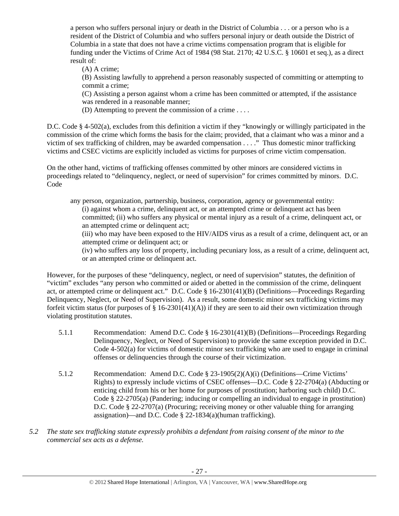a person who suffers personal injury or death in the District of Columbia . . . or a person who is a resident of the District of Columbia and who suffers personal injury or death outside the District of Columbia in a state that does not have a crime victims compensation program that is eligible for funding under the Victims of Crime Act of 1984 (98 Stat. 2170; 42 U.S.C. § 10601 et seq.), as a direct result of:

(A) A crime;

(B) Assisting lawfully to apprehend a person reasonably suspected of committing or attempting to commit a crime;

(C) Assisting a person against whom a crime has been committed or attempted, if the assistance was rendered in a reasonable manner;

(D) Attempting to prevent the commission of a crime . . . .

D.C. Code § 4-502(a), excludes from this definition a victim if they "knowingly or willingly participated in the commission of the crime which forms the basis for the claim; provided, that a claimant who was a minor and a victim of sex trafficking of children, may be awarded compensation . . . ." Thus domestic minor trafficking victims and CSEC victims are explicitly included as victims for purposes of crime victim compensation.

On the other hand, victims of trafficking offenses committed by other minors are considered victims in proceedings related to "delinquency, neglect, or need of supervision" for crimes committed by minors. D.C. Code

any person, organization, partnership, business, corporation, agency or governmental entity: (i) against whom a crime, delinquent act, or an attempted crime or delinquent act has been committed; (ii) who suffers any physical or mental injury as a result of a crime, delinquent act, or an attempted crime or delinquent act;

(iii) who may have been exposed to the HIV/AIDS virus as a result of a crime, delinquent act, or an attempted crime or delinquent act; or

(iv) who suffers any loss of property, including pecuniary loss, as a result of a crime, delinquent act, or an attempted crime or delinquent act.

However, for the purposes of these "delinquency, neglect, or need of supervision" statutes, the definition of "victim" excludes "any person who committed or aided or abetted in the commission of the crime, delinquent act, or attempted crime or delinquent act." D.C. Code § 16-2301(41)(B) (Definitions—Proceedings Regarding Delinquency, Neglect, or Need of Supervision). As a result, some domestic minor sex trafficking victims may forfeit victim status (for purposes of  $\S 16-2301(41)(A)$ ) if they are seen to aid their own victimization through violating prostitution statutes.

- 5.1.1 Recommendation: Amend D.C. Code § 16-2301(41)(B) (Definitions—Proceedings Regarding Delinquency, Neglect, or Need of Supervision) to provide the same exception provided in D.C. Code 4-502(a) for victims of domestic minor sex trafficking who are used to engage in criminal offenses or delinquencies through the course of their victimization.
- 5.1.2 Recommendation: Amend D.C. Code § 23-1905(2)(A)(i) (Definitions—Crime Victims' Rights) to expressly include victims of CSEC offenses—D.C. Code § 22-2704(a) (Abducting or enticing child from his or her home for purposes of prostitution; harboring such child) D.C. Code § 22-2705(a) (Pandering; inducing or compelling an individual to engage in prostitution) D.C. Code § 22-2707(a) (Procuring; receiving money or other valuable thing for arranging assignation)—and D.C. Code § 22-1834(a)(human trafficking).
- *5.2 The state sex trafficking statute expressly prohibits a defendant from raising consent of the minor to the commercial sex acts as a defense.*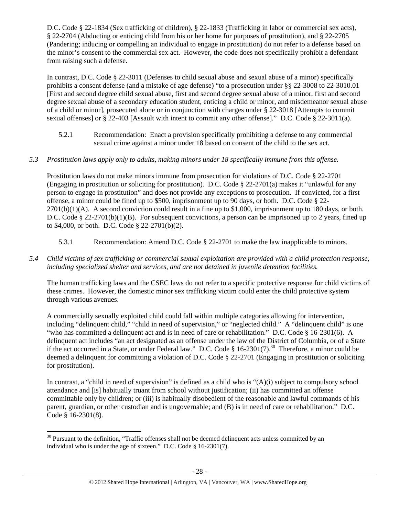D.C. Code § 22-1834 (Sex trafficking of children), § 22-1833 (Trafficking in labor or commercial sex acts), § 22-2704 (Abducting or enticing child from his or her home for purposes of prostitution), and § 22-2705 (Pandering; inducing or compelling an individual to engage in prostitution) do not refer to a defense based on the minor's consent to the commercial sex act. However, the code does not specifically prohibit a defendant from raising such a defense.

In contrast, D.C. Code § 22-3011 (Defenses to child sexual abuse and sexual abuse of a minor) specifically prohibits a consent defense (and a mistake of age defense) "to a prosecution under §§ 22-3008 to 22-3010.01 [First and second degree child sexual abuse, first and second degree sexual abuse of a minor, first and second degree sexual abuse of a secondary education student, enticing a child or minor, and misdemeanor sexual abuse of a child or minor], prosecuted alone or in conjunction with charges under § 22-3018 [Attempts to commit sexual offenses] or § 22-403 [Assault with intent to commit any other offense]." D.C. Code § 22-3011(a).

5.2.1 Recommendation: Enact a provision specifically prohibiting a defense to any commercial sexual crime against a minor under 18 based on consent of the child to the sex act.

# *5.3 Prostitution laws apply only to adults, making minors under 18 specifically immune from this offense.*

Prostitution laws do not make minors immune from prosecution for violations of D.C. Code § 22-2701 (Engaging in prostitution or soliciting for prostitution). D.C. Code § 22-2701(a) makes it "unlawful for any person to engage in prostitution" and does not provide any exceptions to prosecution. If convicted, for a first offense, a minor could be fined up to \$500, imprisonment up to 90 days, or both. D.C. Code § 22-  $2701(b)(1)(A)$ . A second conviction could result in a fine up to \$1,000, imprisonment up to 180 days, or both. D.C. Code § 22-2701(b)(1)(B). For subsequent convictions, a person can be imprisoned up to 2 years, fined up to \$4,000, or both. D.C. Code § 22-2701(b)(2).

5.3.1 Recommendation: Amend D.C. Code § 22-2701 to make the law inapplicable to minors.

# *5.4 Child victims of sex trafficking or commercial sexual exploitation are provided with a child protection response, including specialized shelter and services, and are not detained in juvenile detention facilities.*

The human trafficking laws and the CSEC laws do not refer to a specific protective response for child victims of these crimes. However, the domestic minor sex trafficking victim could enter the child protective system through various avenues.

A commercially sexually exploited child could fall within multiple categories allowing for intervention, including "delinquent child," "child in need of supervision," or "neglected child." A "delinquent child" is one "who has committed a delinquent act and is in need of care or rehabilitation." D.C. Code § 16-2301(6). A delinquent act includes "an act designated as an offense under the law of the District of Columbia, or of a State if the act occurred in a State, or under Federal law." D.C. Code § 16-2301(7).<sup>30</sup> Therefore, a minor could be deemed a delinquent for committing a violation of D.C. Code § 22-2701 (Engaging in prostitution or soliciting for prostitution).

In contrast, a "child in need of supervision" is defined as a child who is "(A)(i) subject to compulsory school attendance and [is] habitually truant from school without justification; (ii) has committed an offense committable only by children; or (iii) is habitually disobedient of the reasonable and lawful commands of his parent, guardian, or other custodian and is ungovernable; and (B) is in need of care or rehabilitation." D.C. Code § 16-2301(8).

  $30$  Pursuant to the definition, "Traffic offenses shall not be deemed delinquent acts unless committed by an individual who is under the age of sixteen." D.C. Code § 16-2301(7).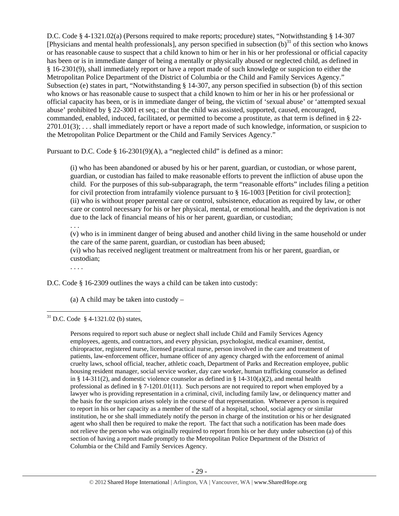D.C. Code § 4-1321.02(a) (Persons required to make reports; procedure) states, "Notwithstanding § 14-307 [Physicians and mental health professionals], any person specified in subsection  $(b)^{31}$  of this section who knows or has reasonable cause to suspect that a child known to him or her in his or her professional or official capacity has been or is in immediate danger of being a mentally or physically abused or neglected child, as defined in § 16-2301(9), shall immediately report or have a report made of such knowledge or suspicion to either the Metropolitan Police Department of the District of Columbia or the Child and Family Services Agency." Subsection (e) states in part, "Notwithstanding § 14-307, any person specified in subsection (b) of this section who knows or has reasonable cause to suspect that a child known to him or her in his or her professional or official capacity has been, or is in immediate danger of being, the victim of 'sexual abuse' or 'attempted sexual abuse' prohibited by § 22-3001 et seq.; or that the child was assisted, supported, caused, encouraged, commanded, enabled, induced, facilitated, or permitted to become a prostitute, as that term is defined in § 22-  $2701.01(3)$ ; ... shall immediately report or have a report made of such knowledge, information, or suspicion to the Metropolitan Police Department or the Child and Family Services Agency."

Pursuant to D.C. Code § 16-2301(9)(A), a "neglected child" is defined as a minor:

(i) who has been abandoned or abused by his or her parent, guardian, or custodian, or whose parent, guardian, or custodian has failed to make reasonable efforts to prevent the infliction of abuse upon the child. For the purposes of this sub-subparagraph, the term "reasonable efforts" includes filing a petition for civil protection from intrafamily violence pursuant to § 16-1003 [Petition for civil protection]; (ii) who is without proper parental care or control, subsistence, education as required by law, or other care or control necessary for his or her physical, mental, or emotional health, and the deprivation is not due to the lack of financial means of his or her parent, guardian, or custodian;

. . .

(v) who is in imminent danger of being abused and another child living in the same household or under the care of the same parent, guardian, or custodian has been abused;

(vi) who has received negligent treatment or maltreatment from his or her parent, guardian, or custodian;

. . . .

D.C. Code § 16-2309 outlines the ways a child can be taken into custody:

(a) A child may be taken into custody –

  $31$  D.C. Code § 4-1321.02 (b) states,

> Persons required to report such abuse or neglect shall include Child and Family Services Agency employees, agents, and contractors, and every physician, psychologist, medical examiner, dentist, chiropractor, registered nurse, licensed practical nurse, person involved in the care and treatment of patients, law-enforcement officer, humane officer of any agency charged with the enforcement of animal cruelty laws, school official, teacher, athletic coach, Department of Parks and Recreation employee, public housing resident manager, social service worker, day care worker, human trafficking counselor as defined in § 14-311(2), and domestic violence counselor as defined in § 14-310(a)(2), and mental health professional as defined in § 7-1201.01(11). Such persons are not required to report when employed by a lawyer who is providing representation in a criminal, civil, including family law, or delinquency matter and the basis for the suspicion arises solely in the course of that representation. Whenever a person is required to report in his or her capacity as a member of the staff of a hospital, school, social agency or similar institution, he or she shall immediately notify the person in charge of the institution or his or her designated agent who shall then be required to make the report. The fact that such a notification has been made does not relieve the person who was originally required to report from his or her duty under subsection (a) of this section of having a report made promptly to the Metropolitan Police Department of the District of Columbia or the Child and Family Services Agency.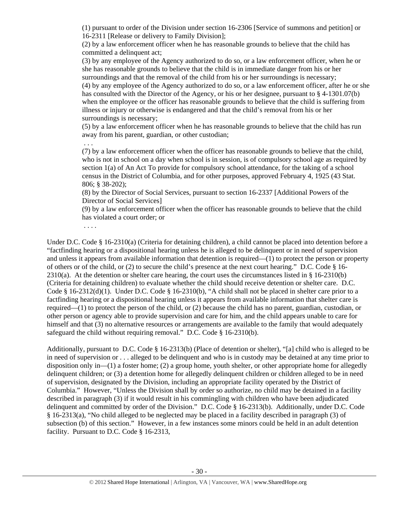(1) pursuant to order of the Division under section 16-2306 [Service of summons and petition] or 16-2311 [Release or delivery to Family Division];

(2) by a law enforcement officer when he has reasonable grounds to believe that the child has committed a delinquent act;

(3) by any employee of the Agency authorized to do so, or a law enforcement officer, when he or she has reasonable grounds to believe that the child is in immediate danger from his or her surroundings and that the removal of the child from his or her surroundings is necessary; (4) by any employee of the Agency authorized to do so, or a law enforcement officer, after he or she has consulted with the Director of the Agency, or his or her designee, pursuant to § 4-1301.07(b) when the employee or the officer has reasonable grounds to believe that the child is suffering from illness or injury or otherwise is endangered and that the child's removal from his or her surroundings is necessary;

(5) by a law enforcement officer when he has reasonable grounds to believe that the child has run away from his parent, guardian, or other custodian;

 . . . (7) by a law enforcement officer when the officer has reasonable grounds to believe that the child, who is not in school on a day when school is in session, is of compulsory school age as required by section 1(a) of An Act To provide for compulsory school attendance, for the taking of a school census in the District of Columbia, and for other purposes, approved February 4, 1925 (43 Stat. 806; § 38-202);

(8) by the Director of Social Services, pursuant to section 16-2337 [Additional Powers of the Director of Social Services]

(9) by a law enforcement officer when the officer has reasonable grounds to believe that the child has violated a court order; or

. . . .

Under D.C. Code § 16-2310(a) (Criteria for detaining children), a child cannot be placed into detention before a "factfinding hearing or a dispositional hearing unless he is alleged to be delinquent or in need of supervision and unless it appears from available information that detention is required—(1) to protect the person or property of others or of the child, or (2) to secure the child's presence at the next court hearing." D.C. Code § 16-  $2310(a)$ . At the detention or shelter care hearing, the court uses the circumstances listed in § 16-2310(b) (Criteria for detaining children) to evaluate whether the child should receive detention or shelter care. D.C. Code § 16-2312(d)(1). Under D.C. Code § 16-2310(b), "A child shall not be placed in shelter care prior to a factfinding hearing or a dispositional hearing unless it appears from available information that shelter care is required—(1) to protect the person of the child, or (2) because the child has no parent, guardian, custodian, or other person or agency able to provide supervision and care for him, and the child appears unable to care for himself and that (3) no alternative resources or arrangements are available to the family that would adequately safeguard the child without requiring removal." D.C. Code § 16-2310(b).

Additionally, pursuant to D.C. Code § 16-2313(b) (Place of detention or shelter), "[a] child who is alleged to be in need of supervision or . . . alleged to be delinquent and who is in custody may be detained at any time prior to disposition only in—(1) a foster home; (2) a group home, youth shelter, or other appropriate home for allegedly delinquent children; or (3) a detention home for allegedly delinquent children or children alleged to be in need of supervision, designated by the Division, including an appropriate facility operated by the District of Columbia." However, "Unless the Division shall by order so authorize, no child may be detained in a facility described in paragraph (3) if it would result in his commingling with children who have been adjudicated delinquent and committed by order of the Division." D.C. Code § 16-2313(b). Additionally, under D.C. Code § 16-2313(a), "No child alleged to be neglected may be placed in a facility described in paragraph (3) of subsection (b) of this section." However, in a few instances some minors could be held in an adult detention facility. Pursuant to D.C. Code § 16-2313,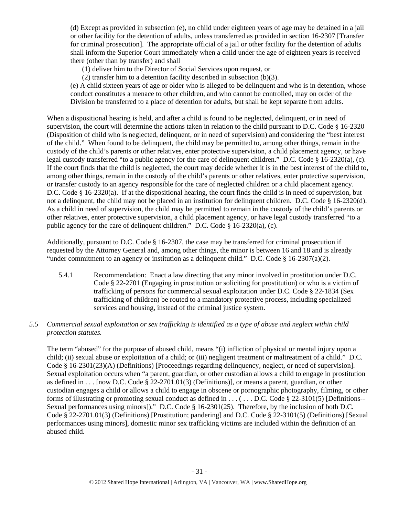(d) Except as provided in subsection (e), no child under eighteen years of age may be detained in a jail or other facility for the detention of adults, unless transferred as provided in section 16-2307 [Transfer for criminal prosecution]. The appropriate official of a jail or other facility for the detention of adults shall inform the Superior Court immediately when a child under the age of eighteen years is received there (other than by transfer) and shall

(1) deliver him to the Director of Social Services upon request, or

(2) transfer him to a detention facility described in subsection (b)(3).

(e) A child sixteen years of age or older who is alleged to be delinquent and who is in detention, whose conduct constitutes a menace to other children, and who cannot be controlled, may on order of the Division be transferred to a place of detention for adults, but shall be kept separate from adults.

When a dispositional hearing is held, and after a child is found to be neglected, delinquent, or in need of supervision, the court will determine the actions taken in relation to the child pursuant to D.C. Code § 16-2320 (Disposition of child who is neglected, delinquent, or in need of supervision) and considering the "best interest of the child." When found to be delinquent, the child may be permitted to, among other things, remain in the custody of the child's parents or other relatives, enter protective supervision, a child placement agency, or have legal custody transferred "to a public agency for the care of delinquent children." D.C. Code § 16-2320(a), (c). If the court finds that the child is neglected, the court may decide whether it is in the best interest of the child to, among other things, remain in the custody of the child's parents or other relatives, enter protective supervision, or transfer custody to an agency responsible for the care of neglected children or a child placement agency. D.C. Code § 16-2320(a). If at the dispositional hearing, the court finds the child is in need of supervision, but not a delinquent, the child may not be placed in an institution for delinquent children. D.C. Code § 16-2320(d). As a child in need of supervision, the child may be permitted to remain in the custody of the child's parents or other relatives, enter protective supervision, a child placement agency, or have legal custody transferred "to a public agency for the care of delinquent children." D.C. Code § 16-2320(a), (c).

Additionally, pursuant to D.C. Code § 16-2307, the case may be transferred for criminal prosecution if requested by the Attorney General and, among other things, the minor is between 16 and 18 and is already "under commitment to an agency or institution as a delinquent child." D.C. Code  $\S$  16-2307(a)(2).

5.4.1 Recommendation: Enact a law directing that any minor involved in prostitution under D.C. Code § 22-2701 (Engaging in prostitution or soliciting for prostitution) or who is a victim of trafficking of persons for commercial sexual exploitation under D.C. Code § 22-1834 (Sex trafficking of children) be routed to a mandatory protective process, including specialized services and housing, instead of the criminal justice system.

# *5.5 Commercial sexual exploitation or sex trafficking is identified as a type of abuse and neglect within child protection statutes.*

The term "abused" for the purpose of abused child, means "(i) infliction of physical or mental injury upon a child; (ii) sexual abuse or exploitation of a child; or (iii) negligent treatment or maltreatment of a child." D.C. Code § 16-2301(23)(A) (Definitions) [Proceedings regarding delinquency, neglect, or need of supervision]. Sexual exploitation occurs when "a parent, guardian, or other custodian allows a child to engage in prostitution as defined in . . . [now D.C. Code § 22-2701.01(3) (Definitions)], or means a parent, guardian, or other custodian engages a child or allows a child to engage in obscene or pornographic photography, filming, or other forms of illustrating or promoting sexual conduct as defined in  $\dots$  ( $\dots$  D.C. Code § 22-3101(5) [Definitions--Sexual performances using minors])." D.C. Code § 16-2301(25). Therefore, by the inclusion of both D.C. Code § 22-2701.01(3) (Definitions) [Prostitution; pandering] and D.C. Code § 22-3101(5) (Definitions) [Sexual performances using minors], domestic minor sex trafficking victims are included within the definition of an abused child.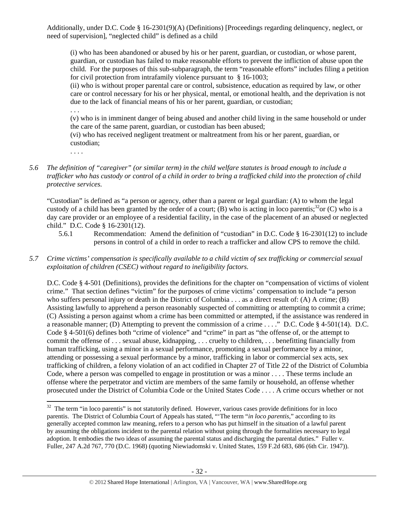Additionally, under D.C. Code § 16-2301(9)(A) (Definitions) [Proceedings regarding delinquency, neglect, or need of supervision], "neglected child" is defined as a child

(i) who has been abandoned or abused by his or her parent, guardian, or custodian, or whose parent, guardian, or custodian has failed to make reasonable efforts to prevent the infliction of abuse upon the child. For the purposes of this sub-subparagraph, the term "reasonable efforts" includes filing a petition for civil protection from intrafamily violence pursuant to § 16-1003;

(ii) who is without proper parental care or control, subsistence, education as required by law, or other care or control necessary for his or her physical, mental, or emotional health, and the deprivation is not due to the lack of financial means of his or her parent, guardian, or custodian;

. . .

(v) who is in imminent danger of being abused and another child living in the same household or under the care of the same parent, guardian, or custodian has been abused;

(vi) who has received negligent treatment or maltreatment from his or her parent, guardian, or custodian;

. . . .

*5.6 The definition of "caregiver" (or similar term) in the child welfare statutes is broad enough to include a trafficker who has custody or control of a child in order to bring a trafficked child into the protection of child protective services.* 

"Custodian" is defined as "a person or agency, other than a parent or legal guardian: (A) to whom the legal custody of a child has been granted by the order of a court; (B) who is acting in loco parentis;<sup>32</sup>or (C) who is a day care provider or an employee of a residential facility, in the case of the placement of an abused or neglected child." D.C. Code § 16-2301(12).

- 5.6.1 Recommendation: Amend the definition of "custodian" in D.C. Code § 16-2301(12) to include persons in control of a child in order to reach a trafficker and allow CPS to remove the child.
- *5.7 Crime victims' compensation is specifically available to a child victim of sex trafficking or commercial sexual exploitation of children (CSEC) without regard to ineligibility factors.*

D.C. Code § 4-501 (Definitions), provides the definitions for the chapter on "compensation of victims of violent crime." That section defines "victim" for the purposes of crime victims' compensation to include "a person who suffers personal injury or death in the District of Columbia . . . as a direct result of: (A) A crime; (B) Assisting lawfully to apprehend a person reasonably suspected of committing or attempting to commit a crime; (C) Assisting a person against whom a crime has been committed or attempted, if the assistance was rendered in a reasonable manner; (D) Attempting to prevent the commission of a crime . . . ." D.C. Code § 4-501(14). D.C. Code § 4-501(6) defines both "crime of violence" and "crime" in part as "the offense of, or the attempt to commit the offense of . . . sexual abuse, kidnapping, . . . cruelty to children, . . . benefitting financially from human trafficking, using a minor in a sexual performance, promoting a sexual performance by a minor, attending or possessing a sexual performance by a minor, trafficking in labor or commercial sex acts, sex trafficking of children, a felony violation of an act codified in Chapter 27 of Title 22 of the District of Columbia Code, where a person was compelled to engage in prostitution or was a minor . . . . These terms include an offense where the perpetrator and victim are members of the same family or household, an offense whether prosecuted under the District of Columbia Code or the United States Code . . . . A crime occurs whether or not

  $32$  The term "in loco parentis" is not statutorily defined. However, various cases provide definitions for in loco parentis. The District of Columbia Court of Appeals has stated, "'The term "*in loco parentis*," according to its generally accepted common law meaning, refers to a person who has put himself in the situation of a lawful parent by assuming the obligations incident to the parental relation without going through the formalities necessary to legal adoption. It embodies the two ideas of assuming the parental status and discharging the parental duties." Fuller v. Fuller, 247 A.2d 767, 770 (D.C. 1968) (quoting Niewiadomski v. United States, 159 F.2d 683, 686 (6th Cir. 1947)).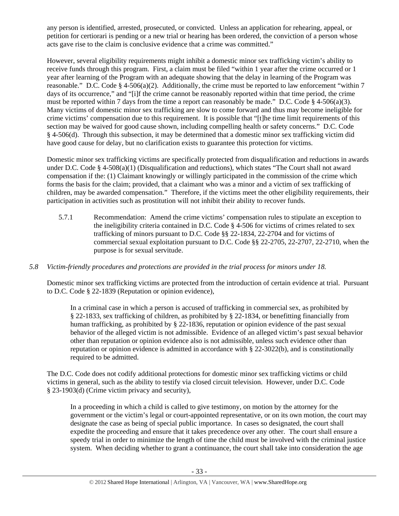any person is identified, arrested, prosecuted, or convicted. Unless an application for rehearing, appeal, or petition for certiorari is pending or a new trial or hearing has been ordered, the conviction of a person whose acts gave rise to the claim is conclusive evidence that a crime was committed."

However, several eligibility requirements might inhibit a domestic minor sex trafficking victim's ability to receive funds through this program. First, a claim must be filed "within 1 year after the crime occurred or 1 year after learning of the Program with an adequate showing that the delay in learning of the Program was reasonable." D.C. Code § 4-506(a)(2). Additionally, the crime must be reported to law enforcement "within 7 days of its occurrence," and "[i]f the crime cannot be reasonably reported within that time period, the crime must be reported within 7 days from the time a report can reasonably be made." D.C. Code  $\S$  4-506(a)(3). Many victims of domestic minor sex trafficking are slow to come forward and thus may become ineligible for crime victims' compensation due to this requirement. It is possible that "[t]he time limit requirements of this section may be waived for good cause shown, including compelling health or safety concerns." D.C. Code § 4-506(d). Through this subsection, it may be determined that a domestic minor sex trafficking victim did have good cause for delay, but no clarification exists to guarantee this protection for victims.

Domestic minor sex trafficking victims are specifically protected from disqualification and reductions in awards under D.C. Code § 4-508(a)(1) (Disqualification and reductions), which states "The Court shall not award compensation if the: (1) Claimant knowingly or willingly participated in the commission of the crime which forms the basis for the claim; provided, that a claimant who was a minor and a victim of sex trafficking of children, may be awarded compensation." Therefore, if the victims meet the other eligibility requirements, their participation in activities such as prostitution will not inhibit their ability to recover funds.

5.7.1 Recommendation: Amend the crime victims' compensation rules to stipulate an exception to the ineligibility criteria contained in D.C. Code  $\S$  4-506 for victims of crimes related to sex trafficking of minors pursuant to D.C. Code §§ 22-1834, 22-2704 and for victims of commercial sexual exploitation pursuant to D.C. Code §§ 22-2705, 22-2707, 22-2710, when the purpose is for sexual servitude.

# *5.8 Victim-friendly procedures and protections are provided in the trial process for minors under 18.*

Domestic minor sex trafficking victims are protected from the introduction of certain evidence at trial. Pursuant to D.C. Code § 22-1839 (Reputation or opinion evidence),

In a criminal case in which a person is accused of trafficking in commercial sex, as prohibited by § 22-1833, sex trafficking of children, as prohibited by § 22-1834, or benefitting financially from human trafficking, as prohibited by § 22-1836, reputation or opinion evidence of the past sexual behavior of the alleged victim is not admissible. Evidence of an alleged victim's past sexual behavior other than reputation or opinion evidence also is not admissible, unless such evidence other than reputation or opinion evidence is admitted in accordance with § 22-3022(b), and is constitutionally required to be admitted.

The D.C. Code does not codify additional protections for domestic minor sex trafficking victims or child victims in general, such as the ability to testify via closed circuit television. However, under D.C. Code § 23-1903(d) (Crime victim privacy and security),

In a proceeding in which a child is called to give testimony, on motion by the attorney for the government or the victim's legal or court-appointed representative, or on its own motion, the court may designate the case as being of special public importance. In cases so designated, the court shall expedite the proceeding and ensure that it takes precedence over any other. The court shall ensure a speedy trial in order to minimize the length of time the child must be involved with the criminal justice system. When deciding whether to grant a continuance, the court shall take into consideration the age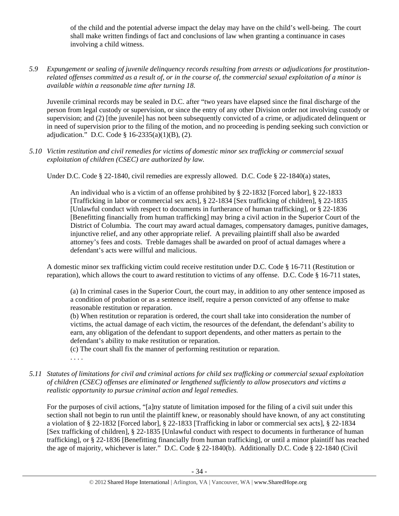of the child and the potential adverse impact the delay may have on the child's well-being. The court shall make written findings of fact and conclusions of law when granting a continuance in cases involving a child witness.

*5.9 Expungement or sealing of juvenile delinquency records resulting from arrests or adjudications for prostitutionrelated offenses committed as a result of, or in the course of, the commercial sexual exploitation of a minor is available within a reasonable time after turning 18.* 

Juvenile criminal records may be sealed in D.C. after "two years have elapsed since the final discharge of the person from legal custody or supervision, or since the entry of any other Division order not involving custody or supervision; and (2) [the juvenile] has not been subsequently convicted of a crime, or adjudicated delinquent or in need of supervision prior to the filing of the motion, and no proceeding is pending seeking such conviction or adjudication." D.C. Code § 16-2335(a)(1)(B), (2).

*5.10 Victim restitution and civil remedies for victims of domestic minor sex trafficking or commercial sexual exploitation of children (CSEC) are authorized by law.* 

Under D.C. Code § 22-1840, civil remedies are expressly allowed. D.C. Code § 22-1840(a) states,

An individual who is a victim of an offense prohibited by § 22-1832 [Forced labor], § 22-1833 [Trafficking in labor or commercial sex acts], § 22-1834 [Sex trafficking of children], § 22-1835 [Unlawful conduct with respect to documents in furtherance of human trafficking], or § 22-1836 [Benefitting financially from human trafficking] may bring a civil action in the Superior Court of the District of Columbia. The court may award actual damages, compensatory damages, punitive damages, injunctive relief, and any other appropriate relief. A prevailing plaintiff shall also be awarded attorney's fees and costs. Treble damages shall be awarded on proof of actual damages where a defendant's acts were willful and malicious.

A domestic minor sex trafficking victim could receive restitution under D.C. Code § 16-711 (Restitution or reparation), which allows the court to award restitution to victims of any offense. D.C. Code § 16-711 states,

(a) In criminal cases in the Superior Court, the court may, in addition to any other sentence imposed as a condition of probation or as a sentence itself, require a person convicted of any offense to make reasonable restitution or reparation.

(b) When restitution or reparation is ordered, the court shall take into consideration the number of victims, the actual damage of each victim, the resources of the defendant, the defendant's ability to earn, any obligation of the defendant to support dependents, and other matters as pertain to the defendant's ability to make restitution or reparation.

(c) The court shall fix the manner of performing restitution or reparation.

. . . .

*5.11 Statutes of limitations for civil and criminal actions for child sex trafficking or commercial sexual exploitation of children (CSEC) offenses are eliminated or lengthened sufficiently to allow prosecutors and victims a realistic opportunity to pursue criminal action and legal remedies.* 

For the purposes of civil actions, "[a]ny statute of limitation imposed for the filing of a civil suit under this section shall not begin to run until the plaintiff knew, or reasonably should have known, of any act constituting a violation of § 22-1832 [Forced labor], § 22-1833 [Trafficking in labor or commercial sex acts], § 22-1834 [Sex trafficking of children], § 22-1835 [Unlawful conduct with respect to documents in furtherance of human trafficking], or § 22-1836 [Benefitting financially from human trafficking], or until a minor plaintiff has reached the age of majority, whichever is later." D.C. Code § 22-1840(b). Additionally D.C. Code § 22-1840 (Civil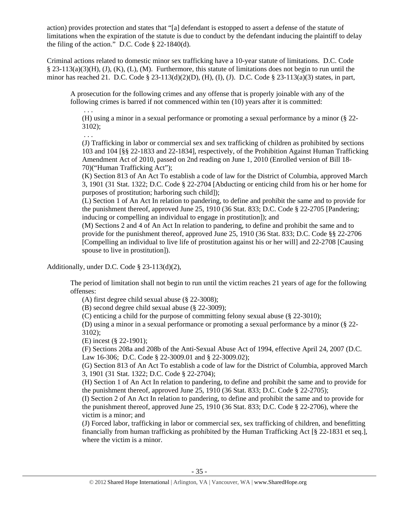action) provides protection and states that "[a] defendant is estopped to assert a defense of the statute of limitations when the expiration of the statute is due to conduct by the defendant inducing the plaintiff to delay the filing of the action." D.C. Code § 22-1840(d).

Criminal actions related to domestic minor sex trafficking have a 10-year statute of limitations. D.C. Code  $\S$  23-113(a)(3)(H), (J), (K), (L), (M). Furthermore, this statute of limitations does not begin to run until the minor has reached 21. D.C. Code § 23-113(d)(2)(D), (H), (I), (J). D.C. Code § 23-113(a)(3) states, in part,

A prosecution for the following crimes and any offense that is properly joinable with any of the following crimes is barred if not commenced within ten (10) years after it is committed:

(H) using a minor in a sexual performance or promoting a sexual performance by a minor (§ 22- 3102);

. . .

. . .

(J) Trafficking in labor or commercial sex and sex trafficking of children as prohibited by sections 103 and 104 [§§ 22-1833 and 22-1834], respectively, of the Prohibition Against Human Trafficking Amendment Act of 2010, passed on 2nd reading on June 1, 2010 (Enrolled version of Bill 18- 70)("Human Trafficking Act");

(K) Section 813 of An Act To establish a code of law for the District of Columbia, approved March 3, 1901 (31 Stat. 1322; D.C. Code § 22-2704 [Abducting or enticing child from his or her home for purposes of prostitution; harboring such child]);

(L) Section 1 of An Act In relation to pandering, to define and prohibit the same and to provide for the punishment thereof, approved June 25, 1910 (36 Stat. 833; D.C. Code § 22-2705 [Pandering; inducing or compelling an individual to engage in prostitution]); and

(M) Sections 2 and 4 of An Act In relation to pandering, to define and prohibit the same and to provide for the punishment thereof, approved June 25, 1910 (36 Stat. 833; D.C. Code §§ 22-2706 [Compelling an individual to live life of prostitution against his or her will] and 22-2708 [Causing spouse to live in prostitution]).

Additionally, under D.C. Code § 23-113(d)(2),

The period of limitation shall not begin to run until the victim reaches 21 years of age for the following offenses:

(A) first degree child sexual abuse (§ 22-3008);

(B) second degree child sexual abuse (§ 22-3009);

(C) enticing a child for the purpose of committing felony sexual abuse (§ 22-3010);

(D) using a minor in a sexual performance or promoting a sexual performance by a minor (§ 22- 3102);

(E) incest (§ 22-1901);

(F) Sections 208a and 208b of the Anti-Sexual Abuse Act of 1994, effective April 24, 2007 (D.C. Law 16-306; D.C. Code § 22-3009.01 and § 22-3009.02);

(G) Section 813 of An Act To establish a code of law for the District of Columbia, approved March 3, 1901 (31 Stat. 1322; D.C. Code § 22-2704);

(H) Section 1 of An Act In relation to pandering, to define and prohibit the same and to provide for the punishment thereof, approved June 25, 1910 (36 Stat. 833; D.C. Code § 22-2705);

(I) Section 2 of An Act In relation to pandering, to define and prohibit the same and to provide for the punishment thereof, approved June 25, 1910 (36 Stat. 833; D.C. Code § 22-2706), where the victim is a minor; and

(J) Forced labor, trafficking in labor or commercial sex, sex trafficking of children, and benefitting financially from human trafficking as prohibited by the Human Trafficking Act [§ 22-1831 et seq.], where the victim is a minor.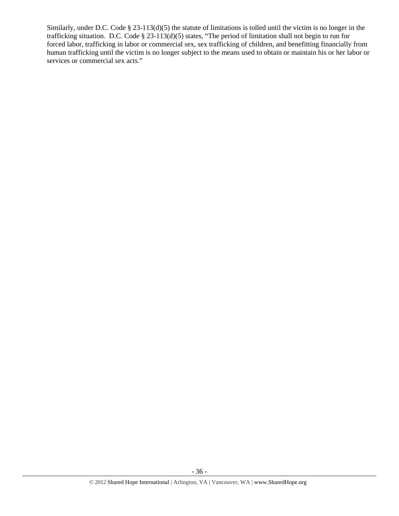Similarly, under D.C. Code § 23-113(d)(5) the statute of limitations is tolled until the victim is no longer in the trafficking situation. D.C. Code § 23-113(d)(5) states, "The period of limitation shall not begin to run for forced labor, trafficking in labor or commercial sex, sex trafficking of children, and benefitting financially from human trafficking until the victim is no longer subject to the means used to obtain or maintain his or her labor or services or commercial sex acts."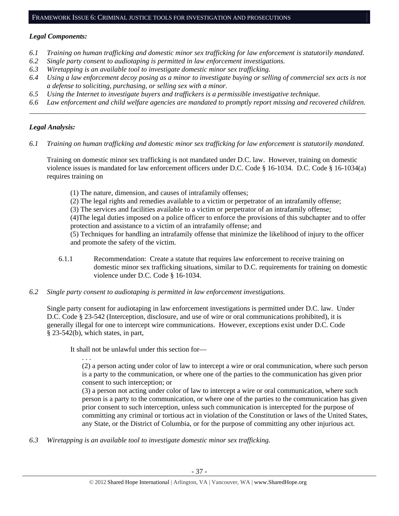## *Legal Components:*

- *6.1 Training on human trafficking and domestic minor sex trafficking for law enforcement is statutorily mandated.*
- *6.2 Single party consent to audiotaping is permitted in law enforcement investigations.*
- *6.3 Wiretapping is an available tool to investigate domestic minor sex trafficking.*
- *6.4 Using a law enforcement decoy posing as a minor to investigate buying or selling of commercial sex acts is not a defense to soliciting, purchasing, or selling sex with a minor.*
- *6.5 Using the Internet to investigate buyers and traffickers is a permissible investigative technique.*
- *6.6 Law enforcement and child welfare agencies are mandated to promptly report missing and recovered children. \_\_\_\_\_\_\_\_\_\_\_\_\_\_\_\_\_\_\_\_\_\_\_\_\_\_\_\_\_\_\_\_\_\_\_\_\_\_\_\_\_\_\_\_\_\_\_\_\_\_\_\_\_\_\_\_\_\_\_\_\_\_\_\_\_\_\_\_\_\_\_\_\_\_\_\_\_\_\_\_\_\_\_\_\_\_\_\_\_\_\_\_\_\_*

## *Legal Analysis:*

*6.1 Training on human trafficking and domestic minor sex trafficking for law enforcement is statutorily mandated.*

Training on domestic minor sex trafficking is not mandated under D.C. law. However, training on domestic violence issues is mandated for law enforcement officers under D.C. Code § 16-1034. D.C. Code § 16-1034(a) requires training on

- (1) The nature, dimension, and causes of intrafamily offenses;
- (2) The legal rights and remedies available to a victim or perpetrator of an intrafamily offense;

(3) The services and facilities available to a victim or perpetrator of an intrafamily offense;

(4)The legal duties imposed on a police officer to enforce the provisions of this subchapter and to offer protection and assistance to a victim of an intrafamily offense; and

(5) Techniques for handling an intrafamily offense that minimize the likelihood of injury to the officer and promote the safety of the victim.

- 6.1.1 Recommendation: Create a statute that requires law enforcement to receive training on domestic minor sex trafficking situations, similar to D.C. requirements for training on domestic violence under D.C. Code § 16-1034.
- *6.2 Single party consent to audiotaping is permitted in law enforcement investigations.*

Single party consent for audiotaping in law enforcement investigations is permitted under D.C. law. Under D.C. Code § 23-542 (Interception, disclosure, and use of wire or oral communications prohibited), it is generally illegal for one to intercept wire communications. However, exceptions exist under D.C. Code § 23-542(b), which states, in part,

It shall not be unlawful under this section for—

. . .

(2) a person acting under color of law to intercept a wire or oral communication, where such person is a party to the communication, or where one of the parties to the communication has given prior consent to such interception; or

(3) a person not acting under color of law to intercept a wire or oral communication, where such person is a party to the communication, or where one of the parties to the communication has given prior consent to such interception, unless such communication is intercepted for the purpose of committing any criminal or tortious act in violation of the Constitution or laws of the United States, any State, or the District of Columbia, or for the purpose of committing any other injurious act.

*6.3 Wiretapping is an available tool to investigate domestic minor sex trafficking.*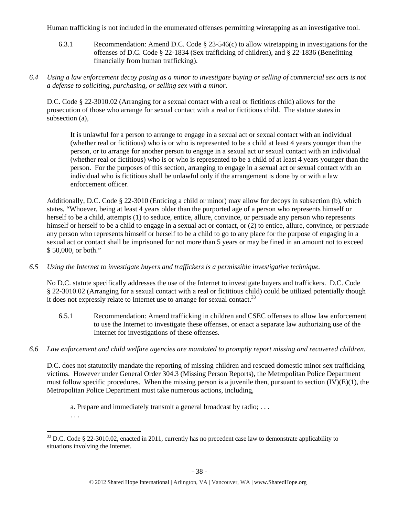Human trafficking is not included in the enumerated offenses permitting wiretapping as an investigative tool.

- 6.3.1 Recommendation: Amend D.C. Code § 23-546(c) to allow wiretapping in investigations for the offenses of D.C. Code § 22-1834 (Sex trafficking of children), and § 22-1836 (Benefitting financially from human trafficking).
- *6.4 Using a law enforcement decoy posing as a minor to investigate buying or selling of commercial sex acts is not a defense to soliciting, purchasing, or selling sex with a minor.*

D.C. Code § 22-3010.02 (Arranging for a sexual contact with a real or fictitious child) allows for the prosecution of those who arrange for sexual contact with a real or fictitious child. The statute states in subsection (a),

It is unlawful for a person to arrange to engage in a sexual act or sexual contact with an individual (whether real or fictitious) who is or who is represented to be a child at least 4 years younger than the person, or to arrange for another person to engage in a sexual act or sexual contact with an individual (whether real or fictitious) who is or who is represented to be a child of at least 4 years younger than the person. For the purposes of this section, arranging to engage in a sexual act or sexual contact with an individual who is fictitious shall be unlawful only if the arrangement is done by or with a law enforcement officer.

Additionally, D.C. Code § 22-3010 (Enticing a child or minor) may allow for decoys in subsection (b), which states, "Whoever, being at least 4 years older than the purported age of a person who represents himself or herself to be a child, attempts (1) to seduce, entice, allure, convince, or persuade any person who represents himself or herself to be a child to engage in a sexual act or contact, or  $(2)$  to entice, allure, convince, or persuade any person who represents himself or herself to be a child to go to any place for the purpose of engaging in a sexual act or contact shall be imprisoned for not more than 5 years or may be fined in an amount not to exceed \$ 50,000, or both."

*6.5 Using the Internet to investigate buyers and traffickers is a permissible investigative technique.* 

No D.C. statute specifically addresses the use of the Internet to investigate buyers and traffickers. D.C. Code § 22-3010.02 (Arranging for a sexual contact with a real or fictitious child) could be utilized potentially though it does not expressly relate to Internet use to arrange for sexual contact.<sup>33</sup>

- 6.5.1 Recommendation: Amend trafficking in children and CSEC offenses to allow law enforcement to use the Internet to investigate these offenses, or enact a separate law authorizing use of the Internet for investigations of these offenses.
- *6.6 Law enforcement and child welfare agencies are mandated to promptly report missing and recovered children.*

D.C. does not statutorily mandate the reporting of missing children and rescued domestic minor sex trafficking victims. However under General Order 304.3 (Missing Person Reports), the Metropolitan Police Department must follow specific procedures. When the missing person is a juvenile then, pursuant to section (IV)(E)(1), the Metropolitan Police Department must take numerous actions, including,

a. Prepare and immediately transmit a general broadcast by radio; . . .

. . .

  $33$  D.C. Code § 22-3010.02, enacted in 2011, currently has no precedent case law to demonstrate applicability to situations involving the Internet.